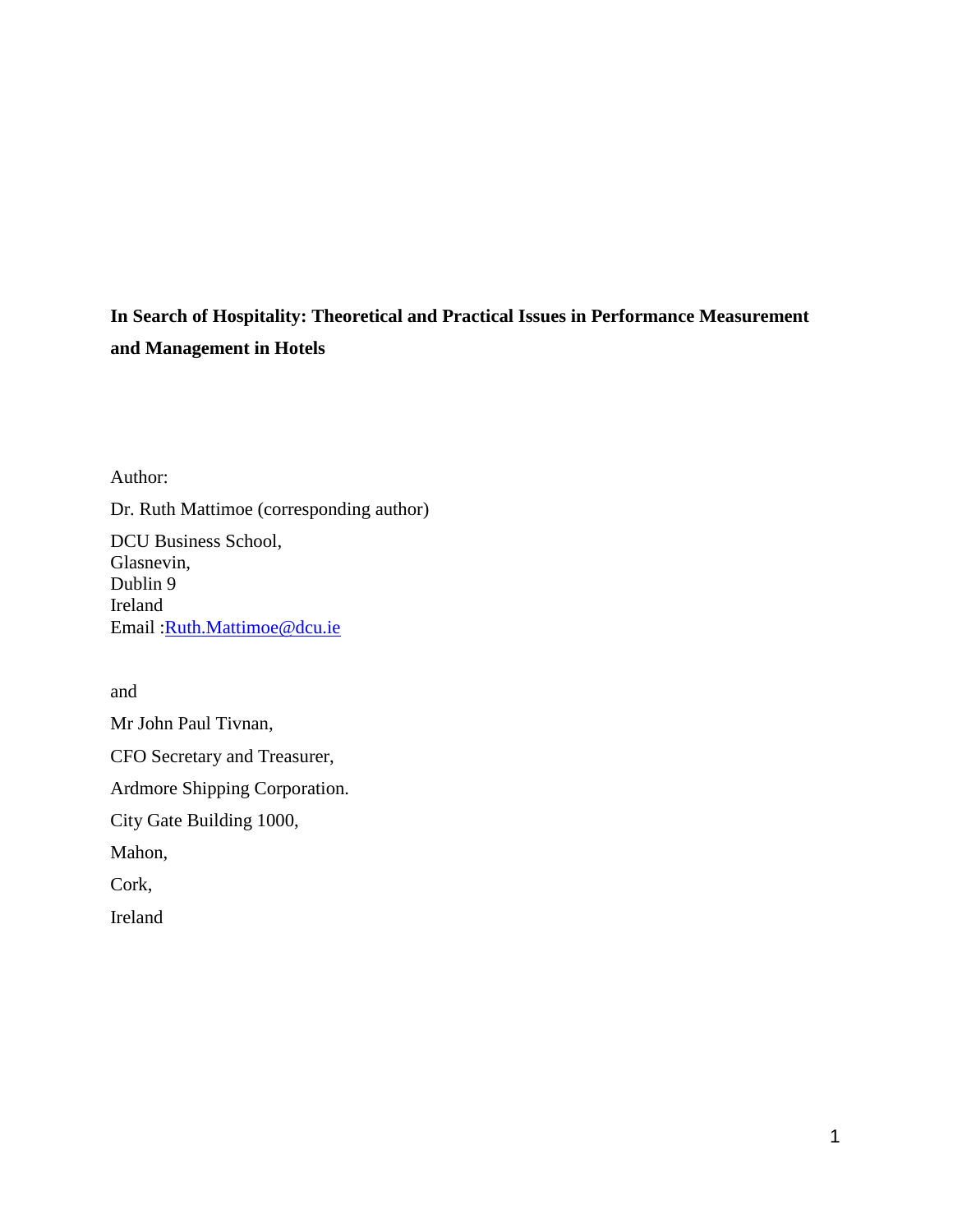# **In Search of Hospitality: Theoretical and Practical Issues in Performance Measurement and Management in Hotels**

Author:

Dr. Ruth Mattimoe (corresponding author)

DCU Business School, Glasnevin, Dublin 9 Ireland Email [:Ruth.Mattimoe@dcu.ie](mailto:Ruth.Mattimoe@dcu.ie)

and

Mr John Paul Tivnan, CFO Secretary and Treasurer, Ardmore Shipping Corporation. City Gate Building 1000, Mahon, Cork,

Ireland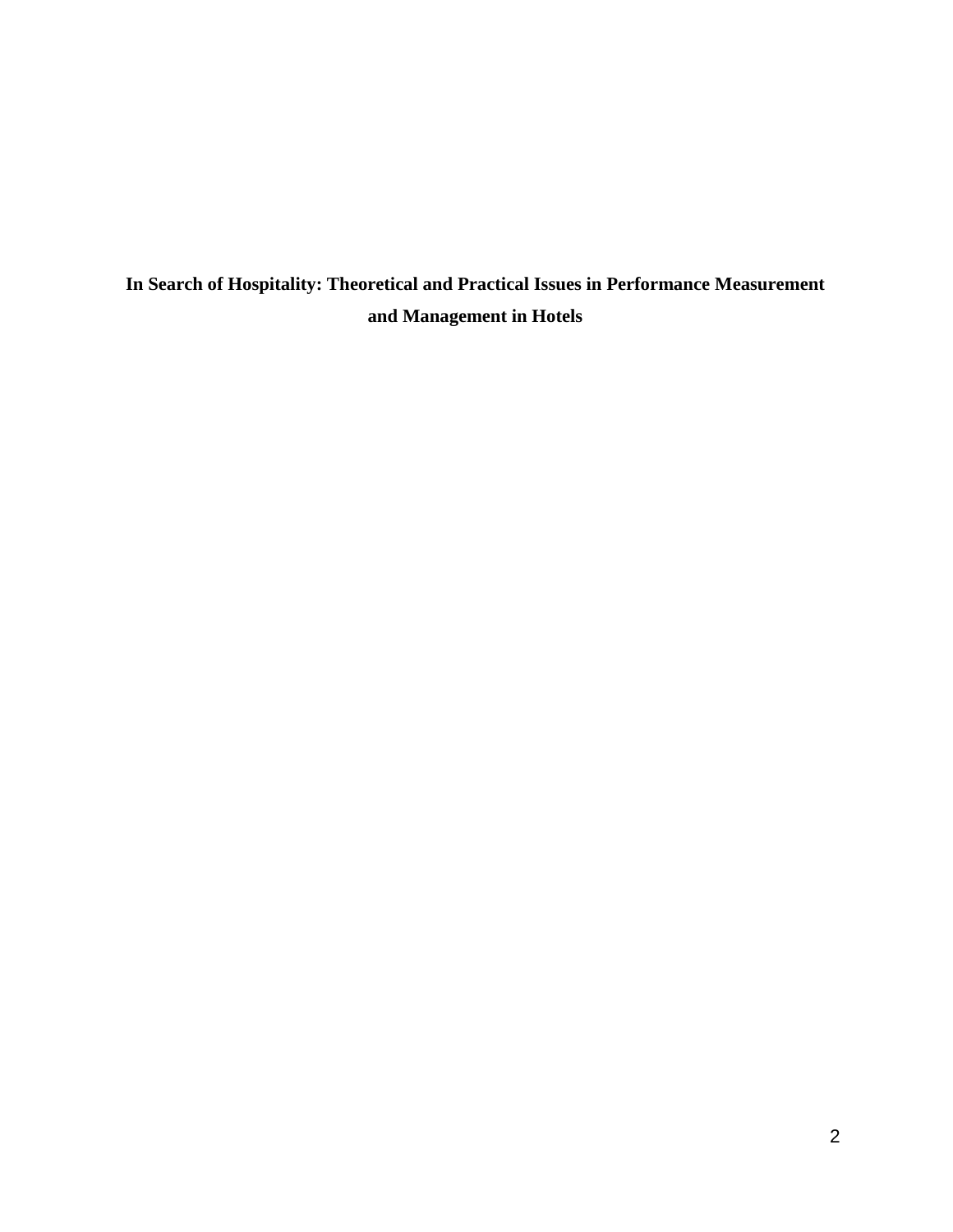**In Search of Hospitality: Theoretical and Practical Issues in Performance Measurement and Management in Hotels**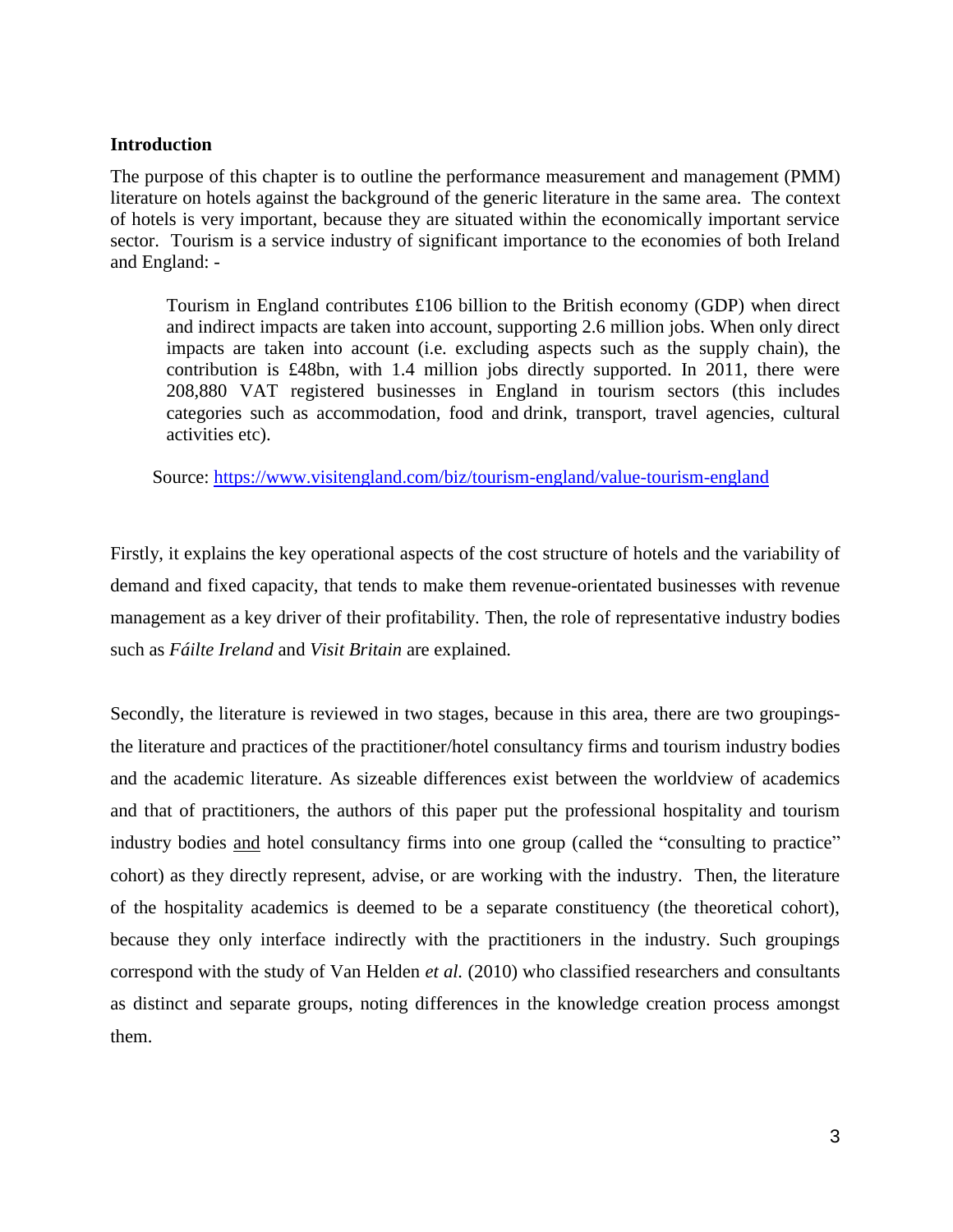#### **Introduction**

The purpose of this chapter is to outline the performance measurement and management (PMM) literature on hotels against the background of the generic literature in the same area. The context of hotels is very important, because they are situated within the economically important service sector. Tourism is a service industry of significant importance to the economies of both Ireland and England: -

Tourism in England contributes £106 billion to the British economy (GDP) when direct and indirect impacts are taken into account, supporting 2.6 million jobs. When only direct impacts are taken into account (i.e. excluding aspects such as the supply chain), the contribution is £48bn, with 1.4 million jobs directly supported. In 2011, there were 208,880 VAT registered businesses in England in tourism sectors (this includes categories such as accommodation, food and drink, transport, travel agencies, cultural activities etc).

Source:<https://www.visitengland.com/biz/tourism-england/value-tourism-england>

Firstly, it explains the key operational aspects of the cost structure of hotels and the variability of demand and fixed capacity, that tends to make them revenue-orientated businesses with revenue management as a key driver of their profitability. Then, the role of representative industry bodies such as *Fáilte Ireland* and *Visit Britain* are explained.

Secondly, the literature is reviewed in two stages, because in this area, there are two groupingsthe literature and practices of the practitioner/hotel consultancy firms and tourism industry bodies and the academic literature. As sizeable differences exist between the worldview of academics and that of practitioners, the authors of this paper put the professional hospitality and tourism industry bodies and hotel consultancy firms into one group (called the "consulting to practice" cohort) as they directly represent, advise, or are working with the industry. Then, the literature of the hospitality academics is deemed to be a separate constituency (the theoretical cohort), because they only interface indirectly with the practitioners in the industry. Such groupings correspond with the study of Van Helden *et al.* (2010) who classified researchers and consultants as distinct and separate groups, noting differences in the knowledge creation process amongst them.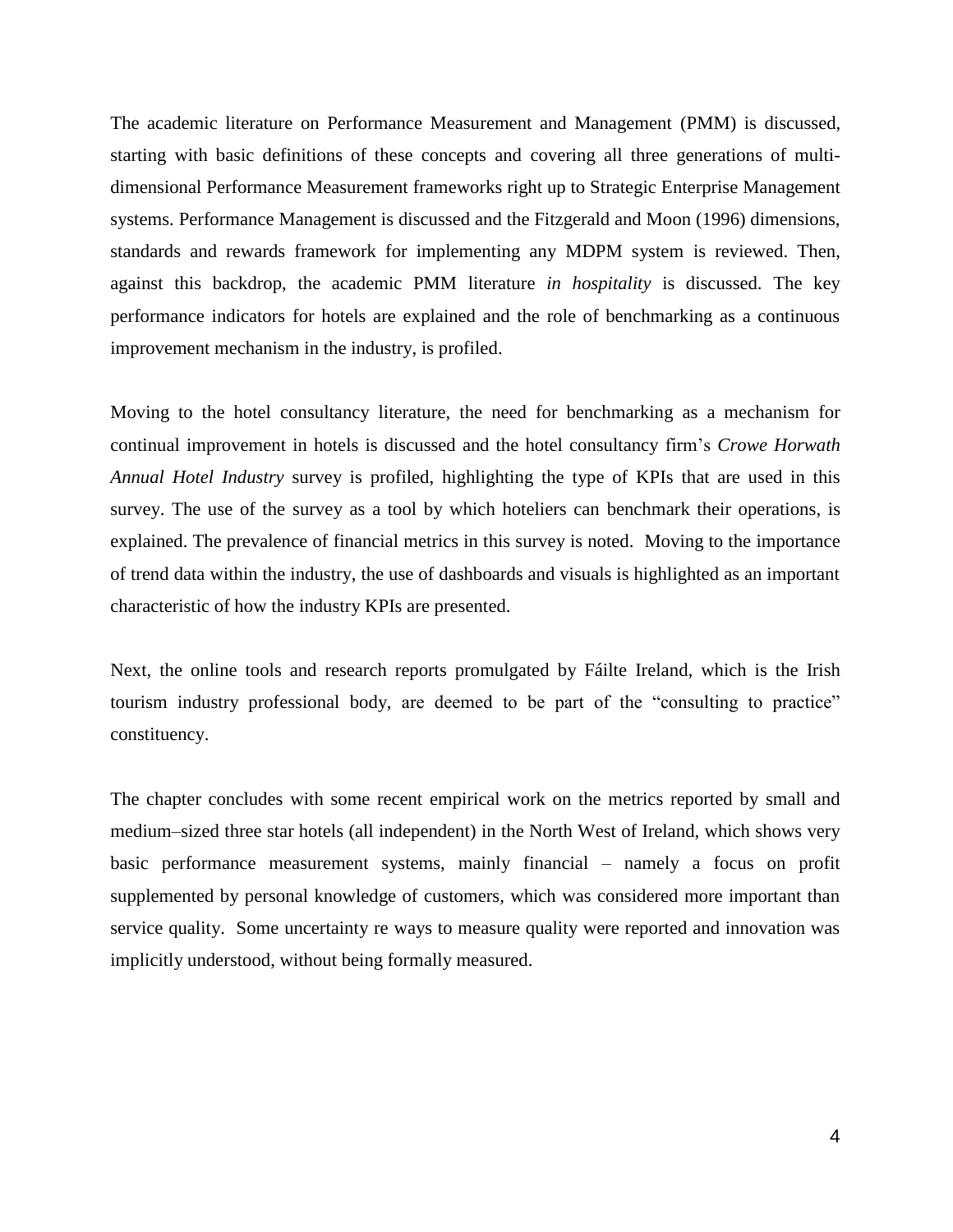The academic literature on Performance Measurement and Management (PMM) is discussed, starting with basic definitions of these concepts and covering all three generations of multidimensional Performance Measurement frameworks right up to Strategic Enterprise Management systems. Performance Management is discussed and the Fitzgerald and Moon (1996) dimensions, standards and rewards framework for implementing any MDPM system is reviewed. Then, against this backdrop, the academic PMM literature *in hospitality* is discussed. The key performance indicators for hotels are explained and the role of benchmarking as a continuous improvement mechanism in the industry, is profiled.

Moving to the hotel consultancy literature, the need for benchmarking as a mechanism for continual improvement in hotels is discussed and the hotel consultancy firm's *Crowe Horwath Annual Hotel Industry* survey is profiled, highlighting the type of KPIs that are used in this survey. The use of the survey as a tool by which hoteliers can benchmark their operations, is explained. The prevalence of financial metrics in this survey is noted. Moving to the importance of trend data within the industry, the use of dashboards and visuals is highlighted as an important characteristic of how the industry KPIs are presented.

Next, the online tools and research reports promulgated by Fáilte Ireland, which is the Irish tourism industry professional body, are deemed to be part of the "consulting to practice" constituency.

The chapter concludes with some recent empirical work on the metrics reported by small and medium–sized three star hotels (all independent) in the North West of Ireland, which shows very basic performance measurement systems, mainly financial – namely a focus on profit supplemented by personal knowledge of customers, which was considered more important than service quality. Some uncertainty re ways to measure quality were reported and innovation was implicitly understood, without being formally measured.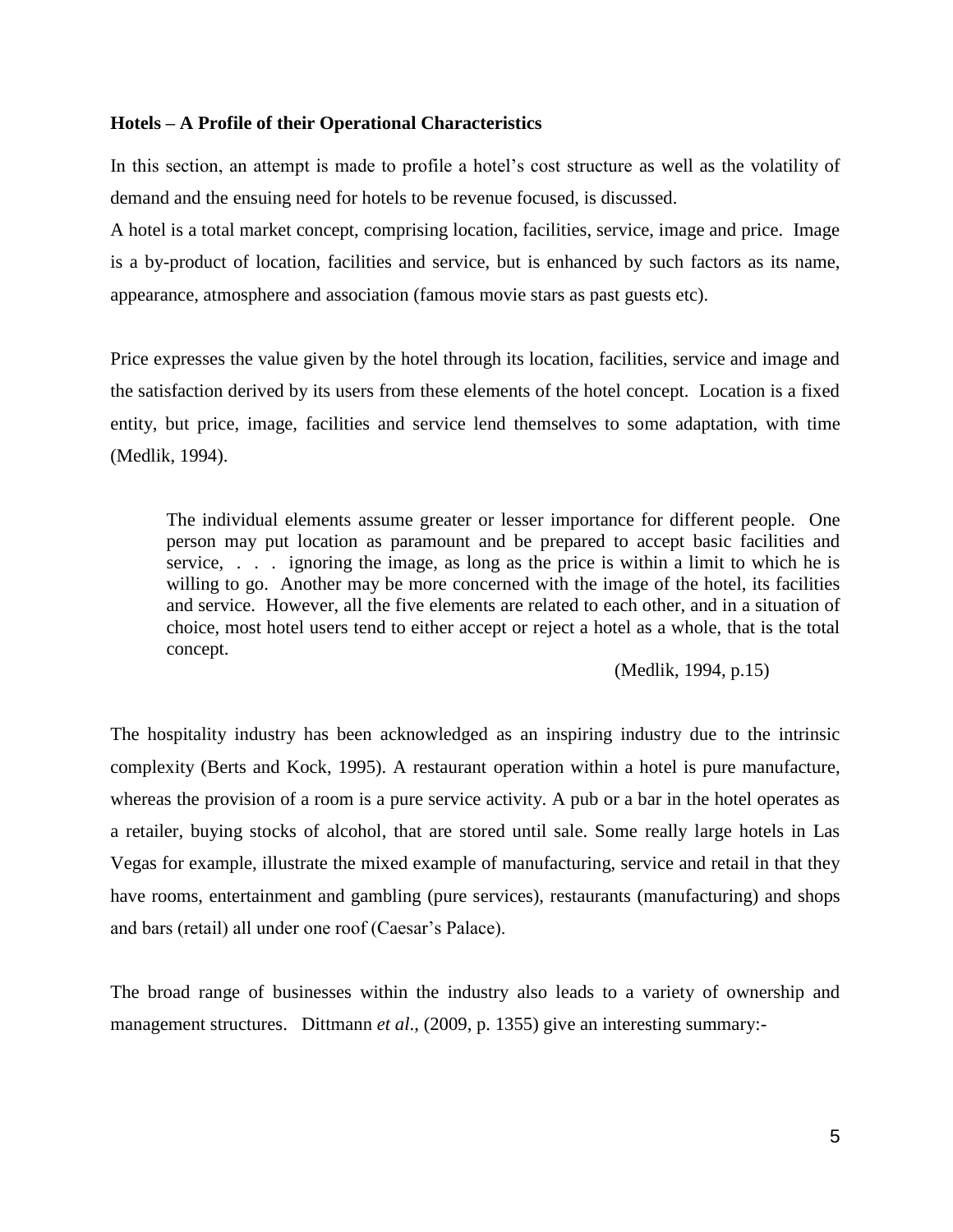#### **Hotels – A Profile of their Operational Characteristics**

In this section, an attempt is made to profile a hotel's cost structure as well as the volatility of demand and the ensuing need for hotels to be revenue focused, is discussed.

A hotel is a total market concept, comprising location, facilities, service, image and price. Image is a by-product of location, facilities and service, but is enhanced by such factors as its name, appearance, atmosphere and association (famous movie stars as past guests etc).

Price expresses the value given by the hotel through its location, facilities, service and image and the satisfaction derived by its users from these elements of the hotel concept. Location is a fixed entity, but price, image, facilities and service lend themselves to some adaptation, with time (Medlik, 1994).

The individual elements assume greater or lesser importance for different people. One person may put location as paramount and be prepared to accept basic facilities and service, . . . ignoring the image, as long as the price is within a limit to which he is willing to go. Another may be more concerned with the image of the hotel, its facilities and service. However, all the five elements are related to each other, and in a situation of choice, most hotel users tend to either accept or reject a hotel as a whole, that is the total concept.

(Medlik, 1994, p.15)

The hospitality industry has been acknowledged as an inspiring industry due to the intrinsic complexity (Berts and Kock, 1995). A restaurant operation within a hotel is pure manufacture, whereas the provision of a room is a pure service activity. A pub or a bar in the hotel operates as a retailer, buying stocks of alcohol, that are stored until sale. Some really large hotels in Las Vegas for example, illustrate the mixed example of manufacturing, service and retail in that they have rooms, entertainment and gambling (pure services), restaurants (manufacturing) and shops and bars (retail) all under one roof (Caesar's Palace).

The broad range of businesses within the industry also leads to a variety of ownership and management structures. Dittmann *et al.*, (2009, p. 1355) give an interesting summary:-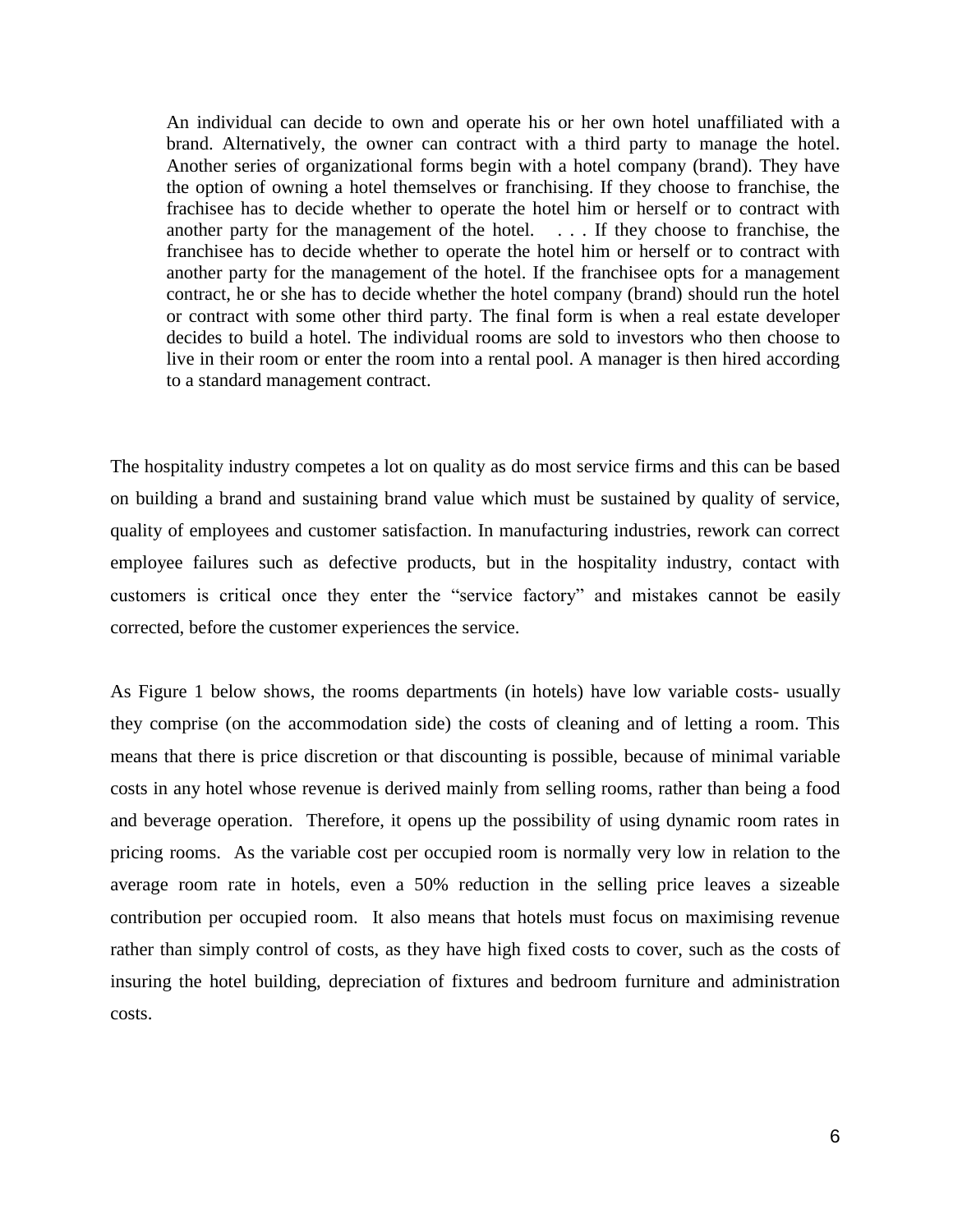An individual can decide to own and operate his or her own hotel unaffiliated with a brand. Alternatively, the owner can contract with a third party to manage the hotel. Another series of organizational forms begin with a hotel company (brand). They have the option of owning a hotel themselves or franchising. If they choose to franchise, the frachisee has to decide whether to operate the hotel him or herself or to contract with another party for the management of the hotel. . . . If they choose to franchise, the franchisee has to decide whether to operate the hotel him or herself or to contract with another party for the management of the hotel. If the franchisee opts for a management contract, he or she has to decide whether the hotel company (brand) should run the hotel or contract with some other third party. The final form is when a real estate developer decides to build a hotel. The individual rooms are sold to investors who then choose to live in their room or enter the room into a rental pool. A manager is then hired according to a standard management contract.

The hospitality industry competes a lot on quality as do most service firms and this can be based on building a brand and sustaining brand value which must be sustained by quality of service, quality of employees and customer satisfaction. In manufacturing industries, rework can correct employee failures such as defective products, but in the hospitality industry, contact with customers is critical once they enter the "service factory" and mistakes cannot be easily corrected, before the customer experiences the service.

As Figure 1 below shows, the rooms departments (in hotels) have low variable costs- usually they comprise (on the accommodation side) the costs of cleaning and of letting a room. This means that there is price discretion or that discounting is possible, because of minimal variable costs in any hotel whose revenue is derived mainly from selling rooms, rather than being a food and beverage operation. Therefore, it opens up the possibility of using dynamic room rates in pricing rooms. As the variable cost per occupied room is normally very low in relation to the average room rate in hotels, even a 50% reduction in the selling price leaves a sizeable contribution per occupied room. It also means that hotels must focus on maximising revenue rather than simply control of costs, as they have high fixed costs to cover, such as the costs of insuring the hotel building, depreciation of fixtures and bedroom furniture and administration costs.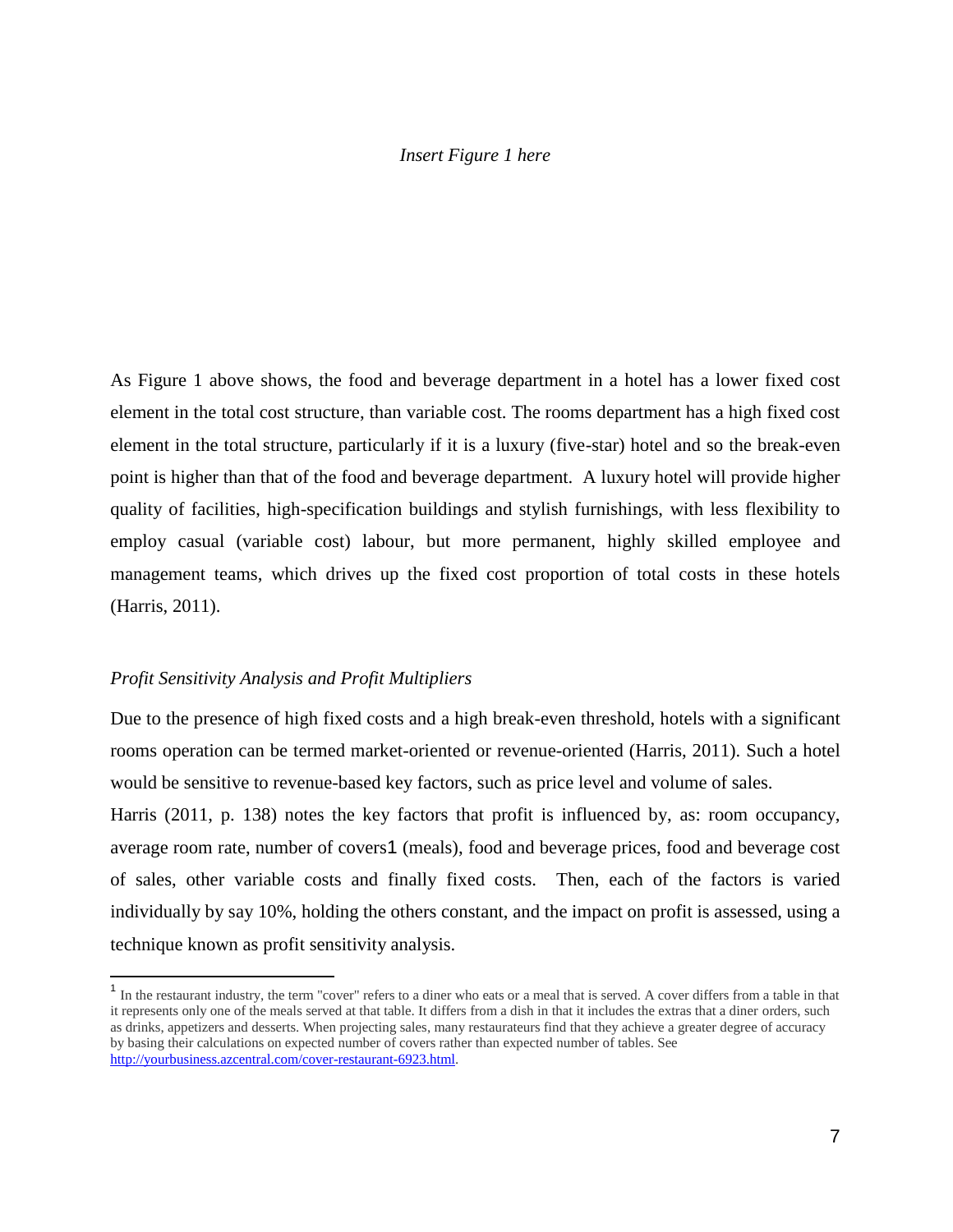#### *Insert Figure 1 here*

As Figure 1 above shows, the food and beverage department in a hotel has a lower fixed cost element in the total cost structure, than variable cost. The rooms department has a high fixed cost element in the total structure, particularly if it is a luxury (five-star) hotel and so the break-even point is higher than that of the food and beverage department. A luxury hotel will provide higher quality of facilities, high-specification buildings and stylish furnishings, with less flexibility to employ casual (variable cost) labour, but more permanent, highly skilled employee and management teams, which drives up the fixed cost proportion of total costs in these hotels (Harris, 2011).

#### *Profit Sensitivity Analysis and Profit Multipliers*

Due to the presence of high fixed costs and a high break-even threshold, hotels with a significant rooms operation can be termed market-oriented or revenue-oriented (Harris, 2011). Such a hotel would be sensitive to revenue-based key factors, such as price level and volume of sales.

Harris (2011, p. 138) notes the key factors that profit is influenced by, as: room occupancy, average room rate, number of covers1 (meals), food and beverage prices, food and beverage cost of sales, other variable costs and finally fixed costs. Then, each of the factors is varied individually by say 10%, holding the others constant, and the impact on profit is assessed, using a technique known as profit sensitivity analysis.

<sup>&</sup>lt;sup>1</sup> In the restaurant industry, the term "cover" refers to a diner who eats or a meal that is served. A cover differs from a table in that it represents only one of the meals served at that table. It differs from a dish in that it includes the extras that a diner orders, such as drinks, appetizers and desserts. When projecting sales, many restaurateurs find that they achieve a greater degree of accuracy by basing their calculations on expected number of covers rather than expected number of tables. See [http://yourbusiness.azcentral.com/cover-restaurant-6923.html.](http://yourbusiness.azcentral.com/cover-restaurant-6923.html)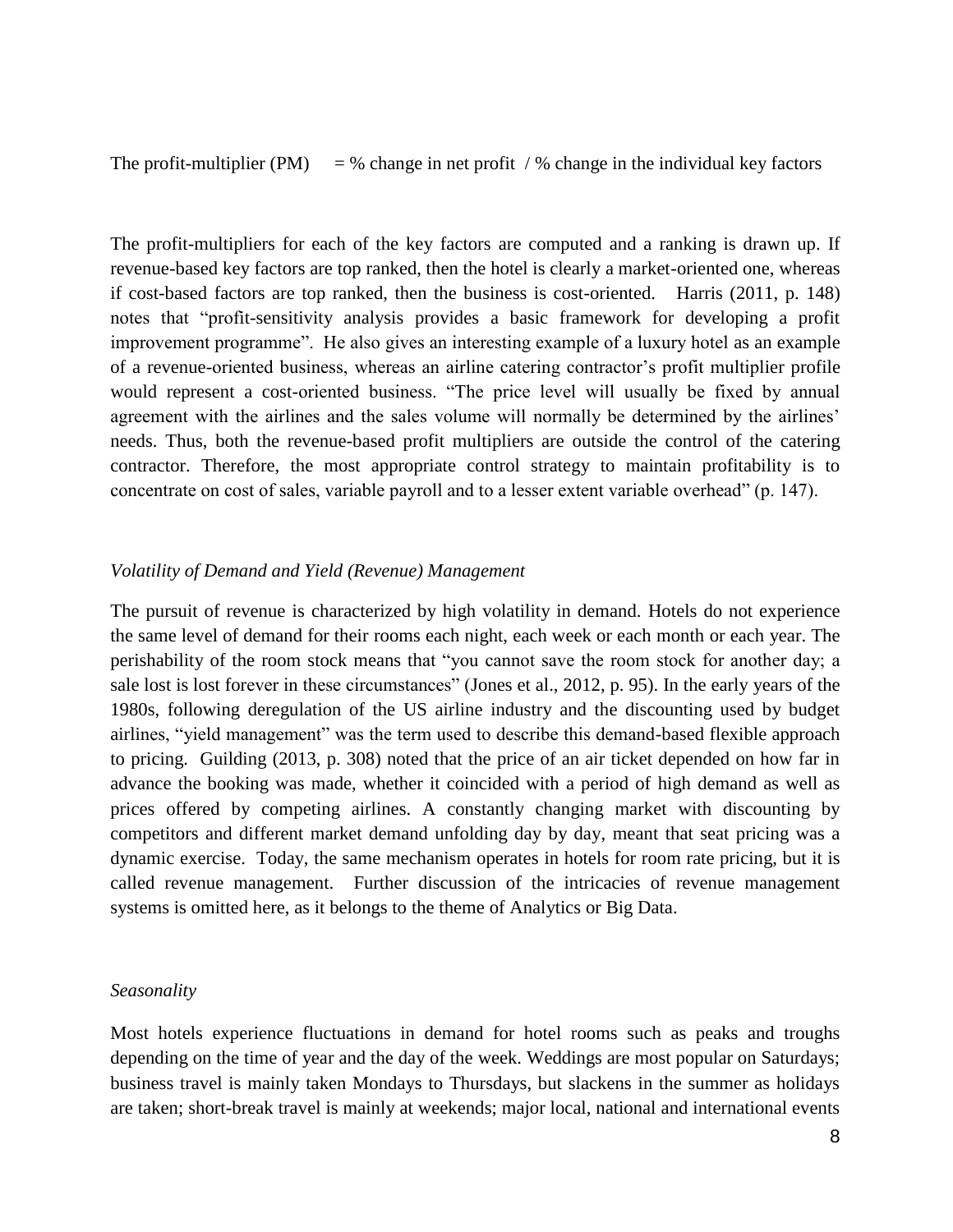The profit-multiplier (PM) = % change in net profit / % change in the individual key factors

The profit-multipliers for each of the key factors are computed and a ranking is drawn up. If revenue-based key factors are top ranked, then the hotel is clearly a market-oriented one, whereas if cost-based factors are top ranked, then the business is cost-oriented. Harris (2011, p. 148) notes that "profit-sensitivity analysis provides a basic framework for developing a profit improvement programme". He also gives an interesting example of a luxury hotel as an example of a revenue-oriented business, whereas an airline catering contractor's profit multiplier profile would represent a cost-oriented business. "The price level will usually be fixed by annual agreement with the airlines and the sales volume will normally be determined by the airlines' needs. Thus, both the revenue-based profit multipliers are outside the control of the catering contractor. Therefore, the most appropriate control strategy to maintain profitability is to concentrate on cost of sales, variable payroll and to a lesser extent variable overhead" (p. 147).

#### *Volatility of Demand and Yield (Revenue) Management*

The pursuit of revenue is characterized by high volatility in demand. Hotels do not experience the same level of demand for their rooms each night, each week or each month or each year. The perishability of the room stock means that "you cannot save the room stock for another day; a sale lost is lost forever in these circumstances" (Jones et al., 2012, p. 95). In the early years of the 1980s, following deregulation of the US airline industry and the discounting used by budget airlines, "yield management" was the term used to describe this demand-based flexible approach to pricing. Guilding (2013, p. 308) noted that the price of an air ticket depended on how far in advance the booking was made, whether it coincided with a period of high demand as well as prices offered by competing airlines. A constantly changing market with discounting by competitors and different market demand unfolding day by day, meant that seat pricing was a dynamic exercise. Today, the same mechanism operates in hotels for room rate pricing, but it is called revenue management. Further discussion of the intricacies of revenue management systems is omitted here, as it belongs to the theme of Analytics or Big Data.

#### *Seasonality*

Most hotels experience fluctuations in demand for hotel rooms such as peaks and troughs depending on the time of year and the day of the week. Weddings are most popular on Saturdays; business travel is mainly taken Mondays to Thursdays, but slackens in the summer as holidays are taken; short-break travel is mainly at weekends; major local, national and international events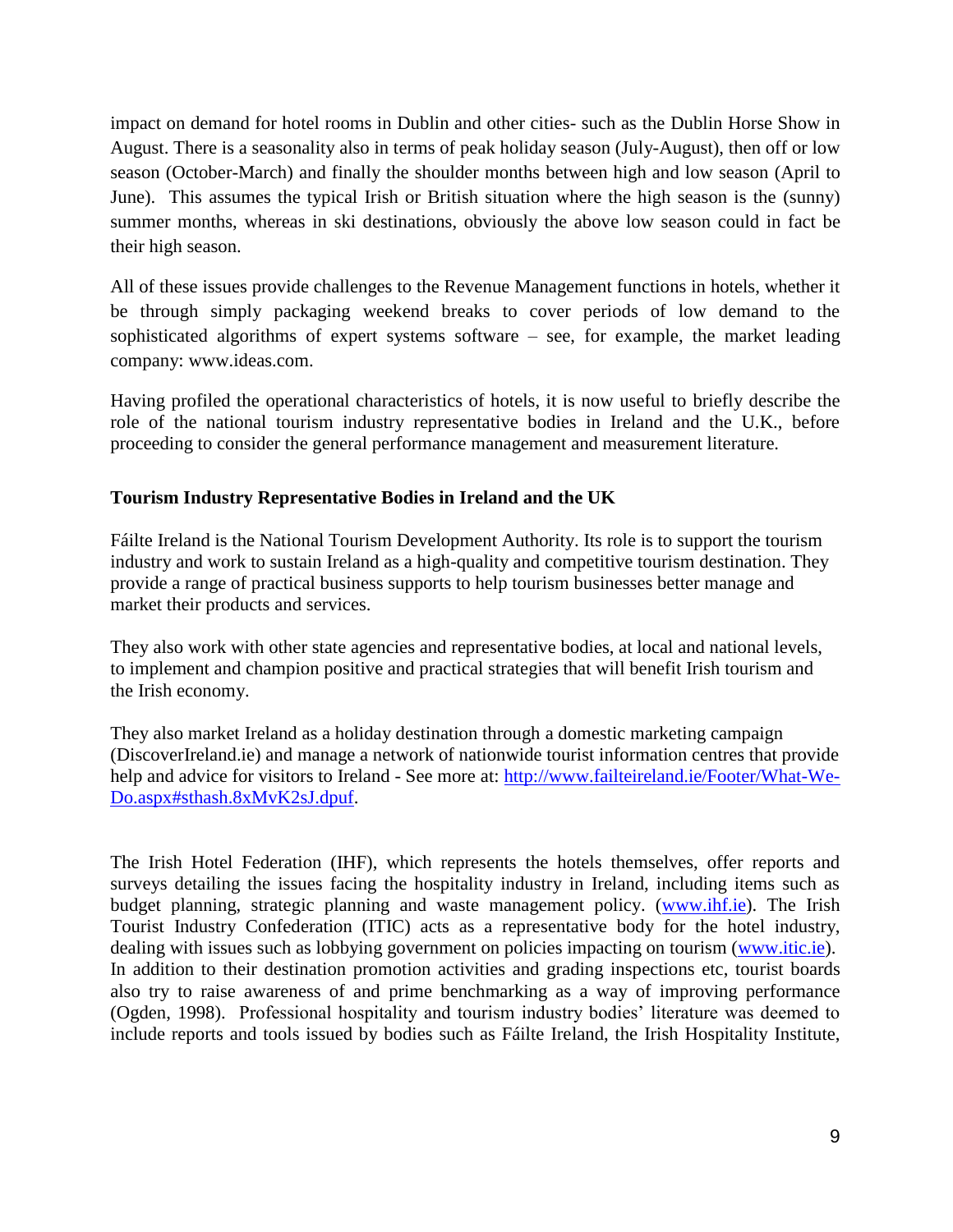impact on demand for hotel rooms in Dublin and other cities- such as the Dublin Horse Show in August. There is a seasonality also in terms of peak holiday season (July-August), then off or low season (October-March) and finally the shoulder months between high and low season (April to June). This assumes the typical Irish or British situation where the high season is the (sunny) summer months, whereas in ski destinations, obviously the above low season could in fact be their high season.

All of these issues provide challenges to the Revenue Management functions in hotels, whether it be through simply packaging weekend breaks to cover periods of low demand to the sophisticated algorithms of expert systems software – see, for example, the market leading company: [www.ideas.com.](http://www.ideas.com/)

Having profiled the operational characteristics of hotels, it is now useful to briefly describe the role of the national tourism industry representative bodies in Ireland and the U.K., before proceeding to consider the general performance management and measurement literature.

# **Tourism Industry Representative Bodies in Ireland and the UK**

Fáilte Ireland is the National Tourism Development Authority. Its role is to support the tourism industry and work to sustain Ireland as a high-quality and competitive tourism destination. They provide a range of practical business supports to help tourism businesses better manage and market their products and services.

They also work with other state agencies and representative bodies, at local and national levels, to implement and champion positive and practical strategies that will benefit Irish tourism and the Irish economy.

They also market Ireland as a holiday destination through a domestic marketing campaign (DiscoverIreland.ie) and manage a network of nationwide tourist information centres that provide help and advice for visitors to Ireland - See more at: [http://www.failteireland.ie/Footer/What-We-](http://www.failteireland.ie/Footer/What-We-Do.aspx#sthash.8xMvK2sJ.dpuf)[Do.aspx#sthash.8xMvK2sJ.dpuf.](http://www.failteireland.ie/Footer/What-We-Do.aspx#sthash.8xMvK2sJ.dpuf)

The Irish Hotel Federation (IHF), which represents the hotels themselves, offer reports and surveys detailing the issues facing the hospitality industry in Ireland, including items such as budget planning, strategic planning and waste management policy. [\(www.ihf.ie\)](http://www.ihf.ie/). The Irish Tourist Industry Confederation (ITIC) acts as a representative body for the hotel industry, dealing with issues such as lobbying government on policies impacting on tourism [\(www.itic.ie\)](http://www.itic.ie/). In addition to their destination promotion activities and grading inspections etc, tourist boards also try to raise awareness of and prime benchmarking as a way of improving performance (Ogden, 1998). Professional hospitality and tourism industry bodies' literature was deemed to include reports and tools issued by bodies such as Fáilte Ireland, the Irish Hospitality Institute,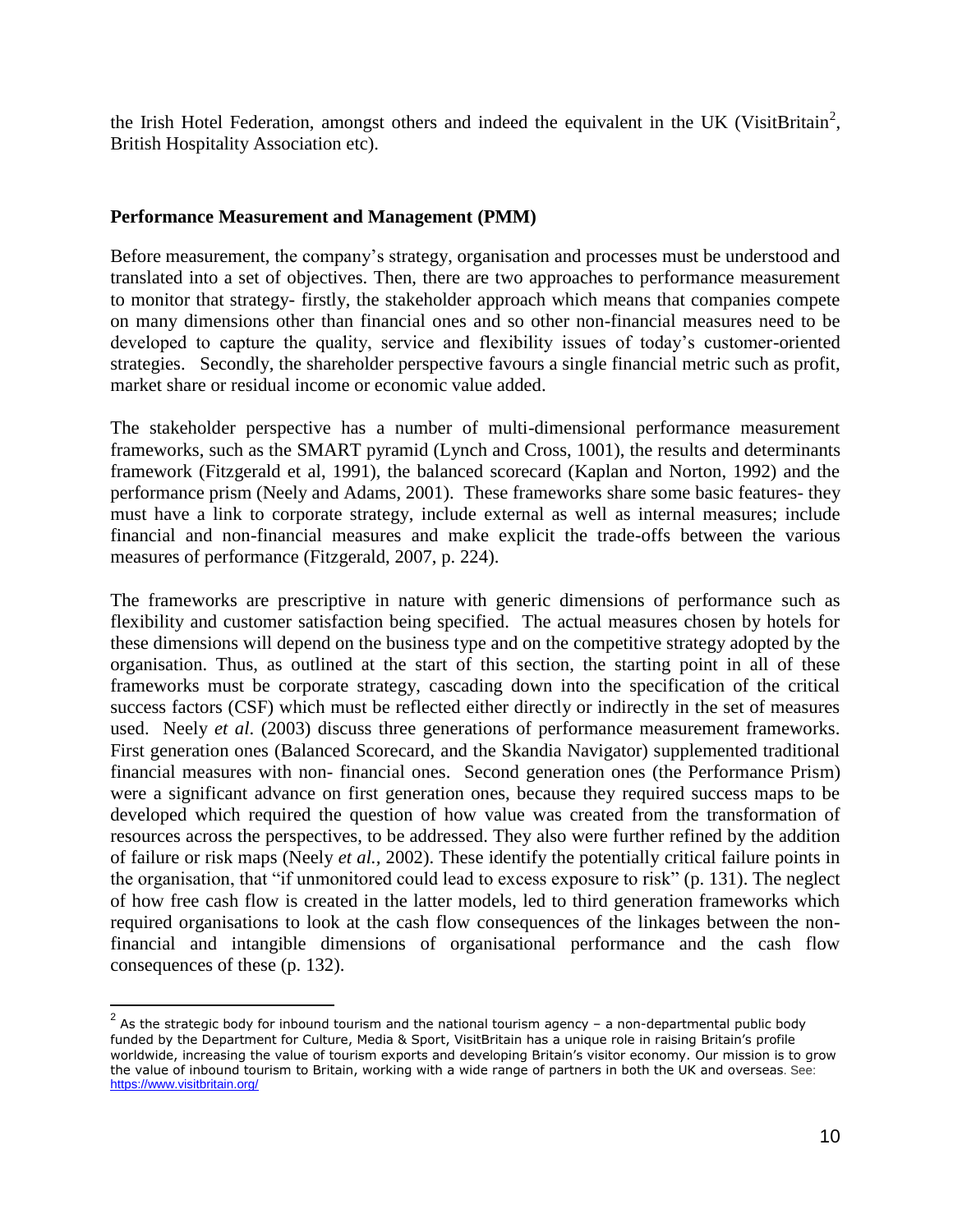the Irish Hotel Federation, amongst others and indeed the equivalent in the UK (VisitBritain<sup>2</sup>, British Hospitality Association etc).

## **Performance Measurement and Management (PMM)**

l

Before measurement, the company's strategy, organisation and processes must be understood and translated into a set of objectives. Then, there are two approaches to performance measurement to monitor that strategy- firstly, the stakeholder approach which means that companies compete on many dimensions other than financial ones and so other non-financial measures need to be developed to capture the quality, service and flexibility issues of today's customer-oriented strategies. Secondly, the shareholder perspective favours a single financial metric such as profit, market share or residual income or economic value added.

The stakeholder perspective has a number of multi-dimensional performance measurement frameworks, such as the SMART pyramid (Lynch and Cross, 1001), the results and determinants framework (Fitzgerald et al, 1991), the balanced scorecard (Kaplan and Norton, 1992) and the performance prism (Neely and Adams, 2001). These frameworks share some basic features- they must have a link to corporate strategy, include external as well as internal measures; include financial and non-financial measures and make explicit the trade-offs between the various measures of performance (Fitzgerald, 2007, p. 224).

The frameworks are prescriptive in nature with generic dimensions of performance such as flexibility and customer satisfaction being specified. The actual measures chosen by hotels for these dimensions will depend on the business type and on the competitive strategy adopted by the organisation. Thus, as outlined at the start of this section, the starting point in all of these frameworks must be corporate strategy, cascading down into the specification of the critical success factors (CSF) which must be reflected either directly or indirectly in the set of measures used. Neely *et al*. (2003) discuss three generations of performance measurement frameworks. First generation ones (Balanced Scorecard, and the Skandia Navigator) supplemented traditional financial measures with non- financial ones. Second generation ones (the Performance Prism) were a significant advance on first generation ones, because they required success maps to be developed which required the question of how value was created from the transformation of resources across the perspectives, to be addressed. They also were further refined by the addition of failure or risk maps (Neely *et al.,* 2002). These identify the potentially critical failure points in the organisation, that "if unmonitored could lead to excess exposure to risk" (p. 131). The neglect of how free cash flow is created in the latter models, led to third generation frameworks which required organisations to look at the cash flow consequences of the linkages between the nonfinancial and intangible dimensions of organisational performance and the cash flow consequences of these (p. 132).

<sup>&</sup>lt;sup>2</sup> As the strategic body for inbound tourism and the national tourism agency – a non-departmental public body funded by the Department for Culture, Media & Sport, VisitBritain has a unique role in raising Britain's profile worldwide, increasing the value of tourism exports and developing Britain's visitor economy. Our mission is to grow the value of inbound tourism to Britain, working with a wide range of partners in both the UK and overseas. See: <https://www.visitbritain.org/>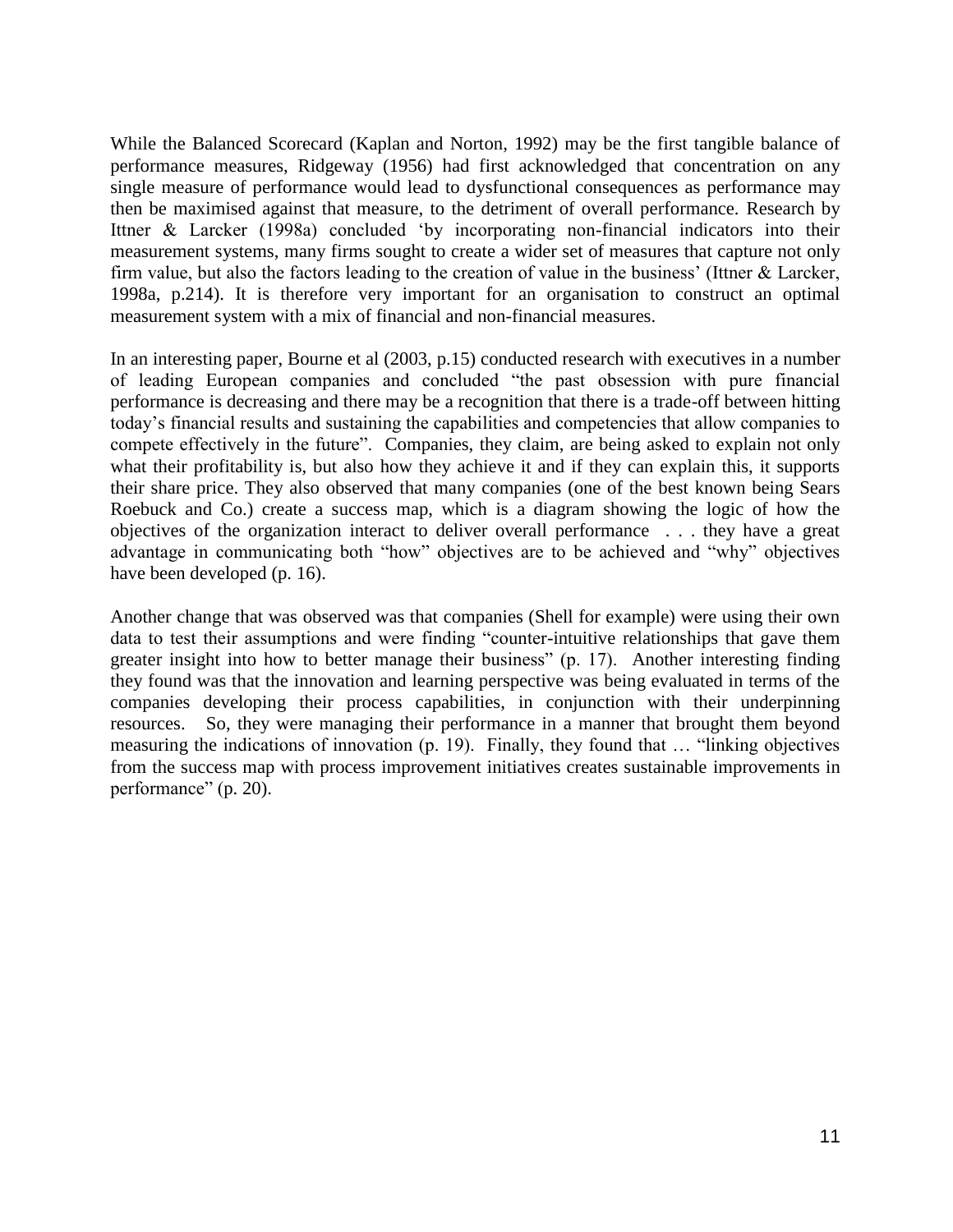While the Balanced Scorecard (Kaplan and Norton, 1992) may be the first tangible balance of performance measures, Ridgeway (1956) had first acknowledged that concentration on any single measure of performance would lead to dysfunctional consequences as performance may then be maximised against that measure, to the detriment of overall performance. Research by Ittner & Larcker (1998a) concluded 'by incorporating non-financial indicators into their measurement systems, many firms sought to create a wider set of measures that capture not only firm value, but also the factors leading to the creation of value in the business' (Ittner & Larcker, 1998a, p.214). It is therefore very important for an organisation to construct an optimal measurement system with a mix of financial and non-financial measures.

In an interesting paper, Bourne et al (2003, p.15) conducted research with executives in a number of leading European companies and concluded "the past obsession with pure financial performance is decreasing and there may be a recognition that there is a trade-off between hitting today's financial results and sustaining the capabilities and competencies that allow companies to compete effectively in the future". Companies, they claim, are being asked to explain not only what their profitability is, but also how they achieve it and if they can explain this, it supports their share price. They also observed that many companies (one of the best known being Sears Roebuck and Co.) create a success map, which is a diagram showing the logic of how the objectives of the organization interact to deliver overall performance . . . they have a great advantage in communicating both "how" objectives are to be achieved and "why" objectives have been developed (p. 16).

Another change that was observed was that companies (Shell for example) were using their own data to test their assumptions and were finding "counter-intuitive relationships that gave them greater insight into how to better manage their business" (p. 17). Another interesting finding they found was that the innovation and learning perspective was being evaluated in terms of the companies developing their process capabilities, in conjunction with their underpinning resources. So, they were managing their performance in a manner that brought them beyond measuring the indications of innovation (p. 19). Finally, they found that … "linking objectives from the success map with process improvement initiatives creates sustainable improvements in performance" (p. 20).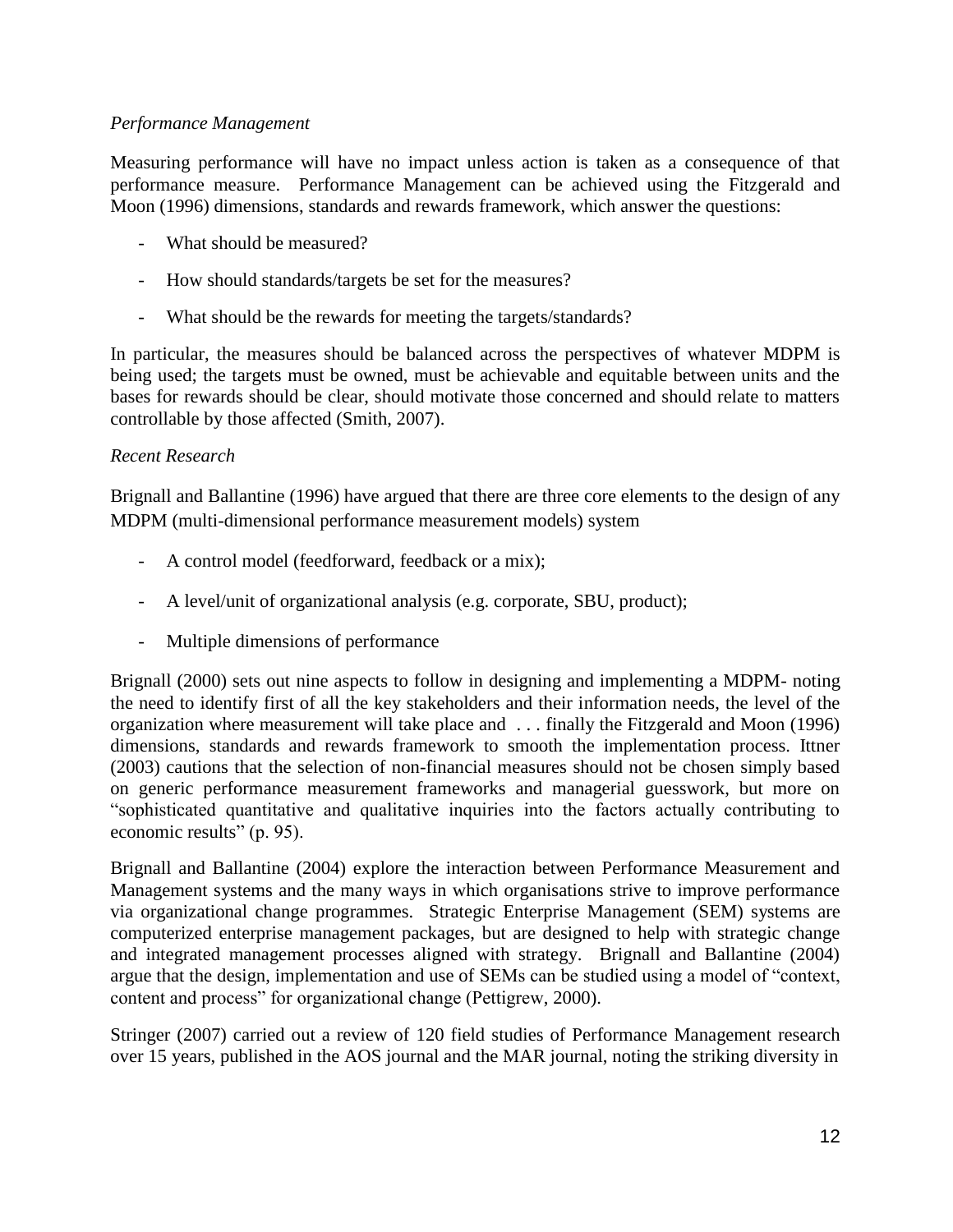# *Performance Management*

Measuring performance will have no impact unless action is taken as a consequence of that performance measure. Performance Management can be achieved using the Fitzgerald and Moon (1996) dimensions, standards and rewards framework, which answer the questions:

- What should be measured?
- How should standards/targets be set for the measures?
- What should be the rewards for meeting the targets/standards?

In particular, the measures should be balanced across the perspectives of whatever MDPM is being used; the targets must be owned, must be achievable and equitable between units and the bases for rewards should be clear, should motivate those concerned and should relate to matters controllable by those affected (Smith, 2007).

## *Recent Research*

Brignall and Ballantine (1996) have argued that there are three core elements to the design of any MDPM (multi-dimensional performance measurement models) system

- A control model (feedforward, feedback or a mix);
- A level/unit of organizational analysis (e.g. corporate, SBU, product);
- Multiple dimensions of performance

Brignall (2000) sets out nine aspects to follow in designing and implementing a MDPM- noting the need to identify first of all the key stakeholders and their information needs, the level of the organization where measurement will take place and . . . finally the Fitzgerald and Moon (1996) dimensions, standards and rewards framework to smooth the implementation process. Ittner (2003) cautions that the selection of non-financial measures should not be chosen simply based on generic performance measurement frameworks and managerial guesswork, but more on "sophisticated quantitative and qualitative inquiries into the factors actually contributing to economic results" (p. 95).

Brignall and Ballantine (2004) explore the interaction between Performance Measurement and Management systems and the many ways in which organisations strive to improve performance via organizational change programmes. Strategic Enterprise Management (SEM) systems are computerized enterprise management packages, but are designed to help with strategic change and integrated management processes aligned with strategy. Brignall and Ballantine (2004) argue that the design, implementation and use of SEMs can be studied using a model of "context, content and process" for organizational change (Pettigrew, 2000).

Stringer (2007) carried out a review of 120 field studies of Performance Management research over 15 years, published in the AOS journal and the MAR journal, noting the striking diversity in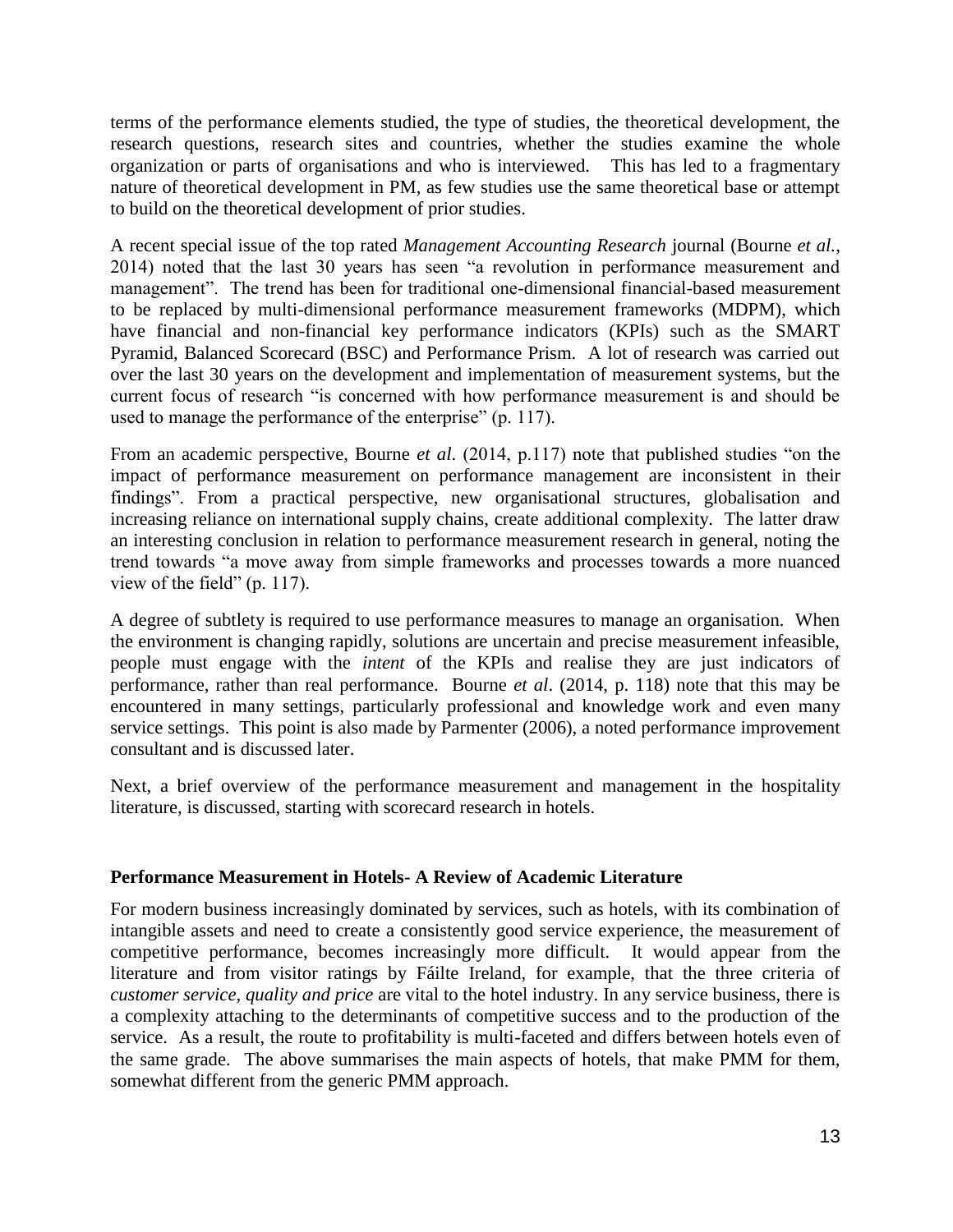terms of the performance elements studied, the type of studies, the theoretical development, the research questions, research sites and countries, whether the studies examine the whole organization or parts of organisations and who is interviewed. This has led to a fragmentary nature of theoretical development in PM, as few studies use the same theoretical base or attempt to build on the theoretical development of prior studies.

A recent special issue of the top rated *Management Accounting Research* journal (Bourne *et al.*, 2014) noted that the last 30 years has seen "a revolution in performance measurement and management". The trend has been for traditional one-dimensional financial-based measurement to be replaced by multi-dimensional performance measurement frameworks (MDPM), which have financial and non-financial key performance indicators (KPIs) such as the SMART Pyramid, Balanced Scorecard (BSC) and Performance Prism. A lot of research was carried out over the last 30 years on the development and implementation of measurement systems, but the current focus of research "is concerned with how performance measurement is and should be used to manage the performance of the enterprise" (p. 117).

From an academic perspective, Bourne *et al*. (2014, p.117) note that published studies "on the impact of performance measurement on performance management are inconsistent in their findings". From a practical perspective, new organisational structures, globalisation and increasing reliance on international supply chains, create additional complexity. The latter draw an interesting conclusion in relation to performance measurement research in general, noting the trend towards "a move away from simple frameworks and processes towards a more nuanced view of the field" (p. 117).

A degree of subtlety is required to use performance measures to manage an organisation. When the environment is changing rapidly, solutions are uncertain and precise measurement infeasible, people must engage with the *intent* of the KPIs and realise they are just indicators of performance, rather than real performance. Bourne *et al*. (2014, p. 118) note that this may be encountered in many settings, particularly professional and knowledge work and even many service settings. This point is also made by Parmenter (2006), a noted performance improvement consultant and is discussed later.

Next, a brief overview of the performance measurement and management in the hospitality literature, is discussed, starting with scorecard research in hotels.

# **Performance Measurement in Hotels- A Review of Academic Literature**

For modern business increasingly dominated by services, such as hotels, with its combination of intangible assets and need to create a consistently good service experience, the measurement of competitive performance, becomes increasingly more difficult. It would appear from the literature and from visitor ratings by Fáilte Ireland, for example, that the three criteria of *customer service, quality and price* are vital to the hotel industry. In any service business, there is a complexity attaching to the determinants of competitive success and to the production of the service. As a result, the route to profitability is multi-faceted and differs between hotels even of the same grade. The above summarises the main aspects of hotels, that make PMM for them, somewhat different from the generic PMM approach.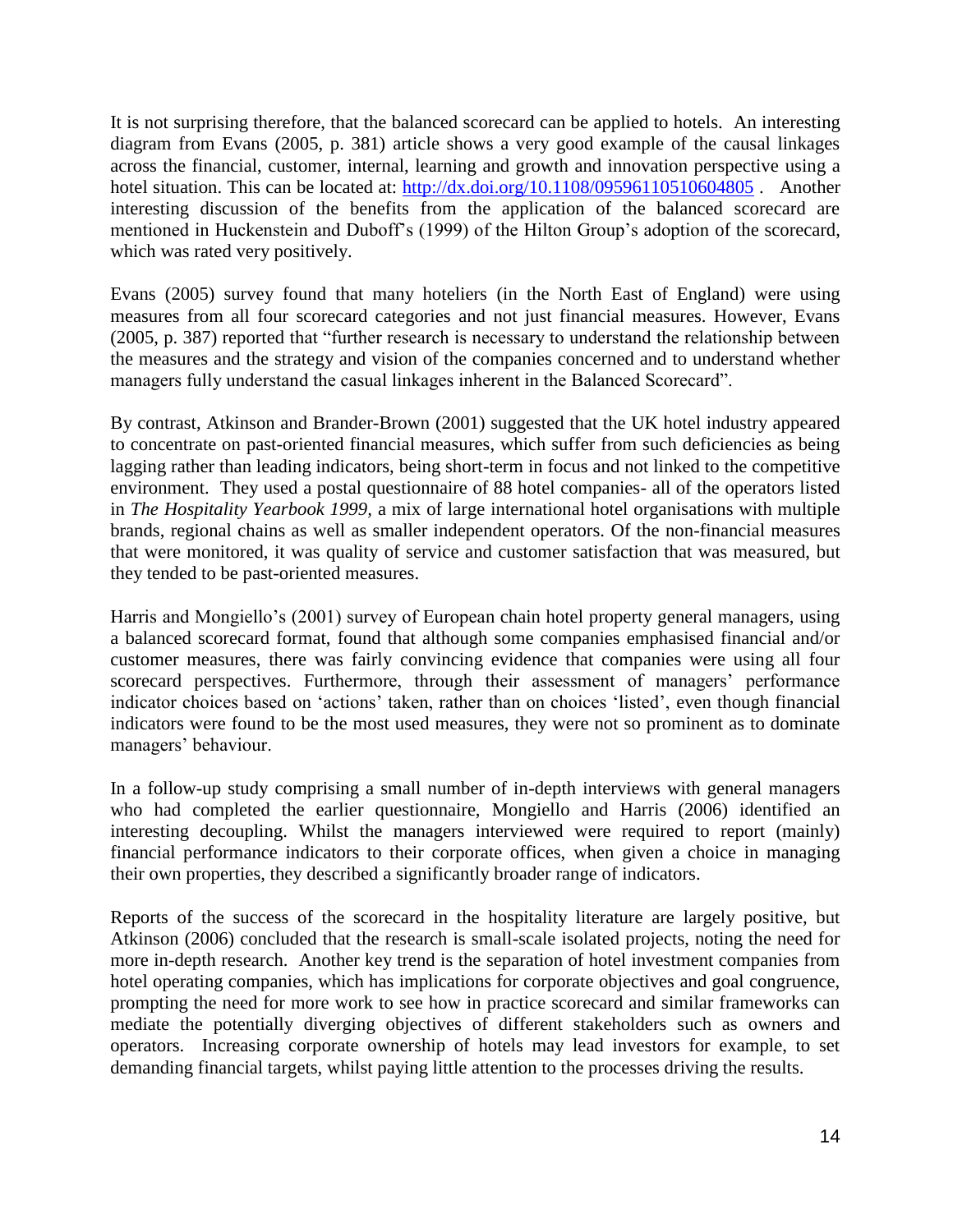It is not surprising therefore, that the balanced scorecard can be applied to hotels. An interesting diagram from Evans (2005, p. 381) article shows a very good example of the causal linkages across the financial, customer, internal, learning and growth and innovation perspective using a hotel situation. This can be located at:<http://dx.doi.org/10.1108/09596110510604805>. Another interesting discussion of the benefits from the application of the balanced scorecard are mentioned in Huckenstein and Duboff's (1999) of the Hilton Group's adoption of the scorecard, which was rated very positively.

Evans (2005) survey found that many hoteliers (in the North East of England) were using measures from all four scorecard categories and not just financial measures. However, Evans (2005, p. 387) reported that "further research is necessary to understand the relationship between the measures and the strategy and vision of the companies concerned and to understand whether managers fully understand the casual linkages inherent in the Balanced Scorecard".

By contrast, Atkinson and Brander-Brown (2001) suggested that the UK hotel industry appeared to concentrate on past-oriented financial measures, which suffer from such deficiencies as being lagging rather than leading indicators, being short-term in focus and not linked to the competitive environment. They used a postal questionnaire of 88 hotel companies- all of the operators listed in *The Hospitality Yearbook 1999,* a mix of large international hotel organisations with multiple brands, regional chains as well as smaller independent operators. Of the non-financial measures that were monitored, it was quality of service and customer satisfaction that was measured, but they tended to be past-oriented measures.

Harris and Mongiello's (2001) survey of European chain hotel property general managers, using a balanced scorecard format, found that although some companies emphasised financial and/or customer measures, there was fairly convincing evidence that companies were using all four scorecard perspectives. Furthermore, through their assessment of managers' performance indicator choices based on 'actions' taken, rather than on choices 'listed', even though financial indicators were found to be the most used measures, they were not so prominent as to dominate managers' behaviour.

In a follow-up study comprising a small number of in-depth interviews with general managers who had completed the earlier questionnaire, Mongiello and Harris (2006) identified an interesting decoupling. Whilst the managers interviewed were required to report (mainly) financial performance indicators to their corporate offices, when given a choice in managing their own properties, they described a significantly broader range of indicators.

Reports of the success of the scorecard in the hospitality literature are largely positive, but Atkinson (2006) concluded that the research is small-scale isolated projects, noting the need for more in-depth research. Another key trend is the separation of hotel investment companies from hotel operating companies, which has implications for corporate objectives and goal congruence, prompting the need for more work to see how in practice scorecard and similar frameworks can mediate the potentially diverging objectives of different stakeholders such as owners and operators. Increasing corporate ownership of hotels may lead investors for example, to set demanding financial targets, whilst paying little attention to the processes driving the results.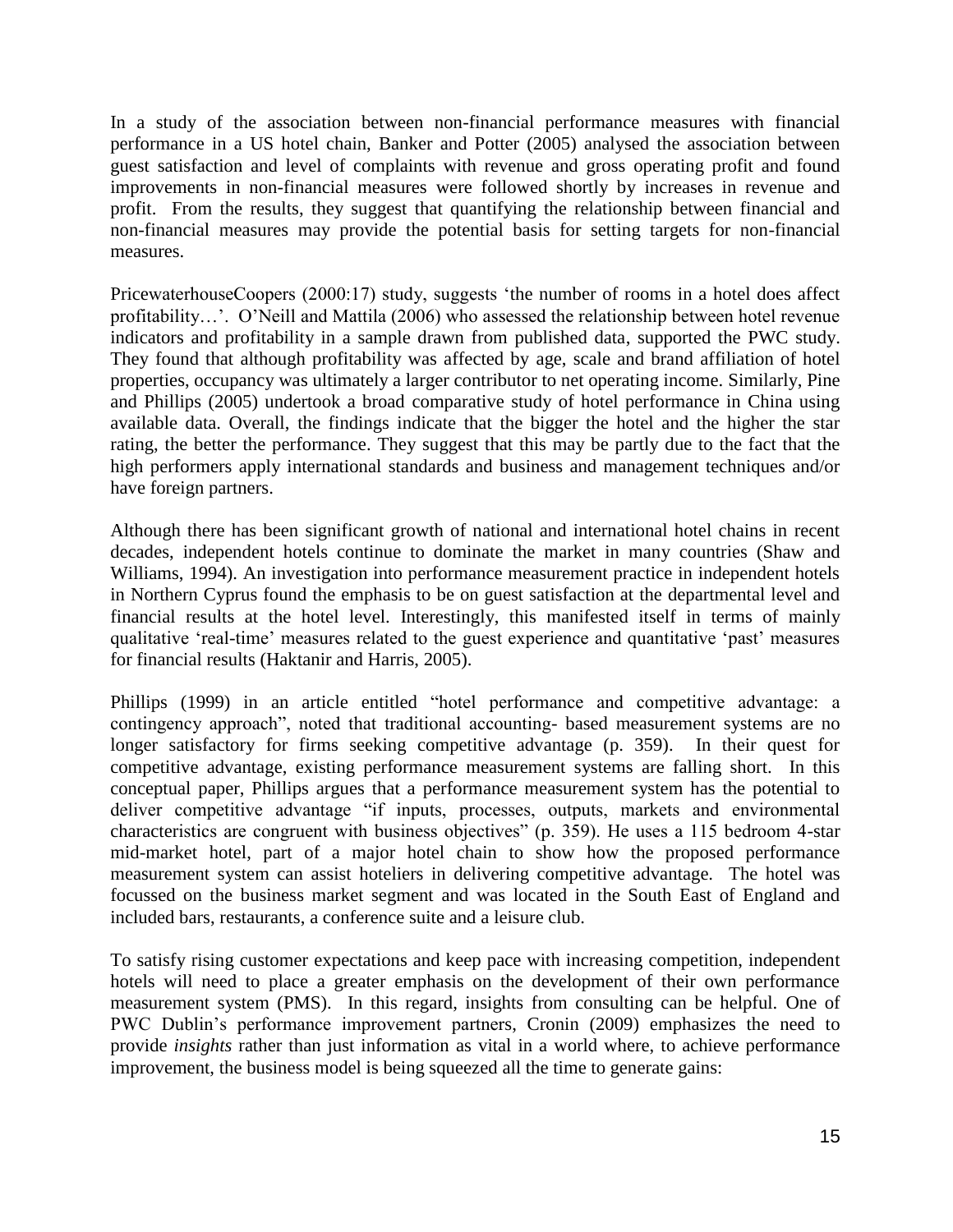In a study of the association between non-financial performance measures with financial performance in a US hotel chain, Banker and Potter (2005) analysed the association between guest satisfaction and level of complaints with revenue and gross operating profit and found improvements in non-financial measures were followed shortly by increases in revenue and profit. From the results, they suggest that quantifying the relationship between financial and non-financial measures may provide the potential basis for setting targets for non-financial measures.

PricewaterhouseCoopers (2000:17) study, suggests 'the number of rooms in a hotel does affect profitability…'. O'Neill and Mattila (2006) who assessed the relationship between hotel revenue indicators and profitability in a sample drawn from published data, supported the PWC study. They found that although profitability was affected by age, scale and brand affiliation of hotel properties, occupancy was ultimately a larger contributor to net operating income. Similarly, Pine and Phillips (2005) undertook a broad comparative study of hotel performance in China using available data. Overall, the findings indicate that the bigger the hotel and the higher the star rating, the better the performance. They suggest that this may be partly due to the fact that the high performers apply international standards and business and management techniques and/or have foreign partners.

Although there has been significant growth of national and international hotel chains in recent decades, independent hotels continue to dominate the market in many countries (Shaw and Williams, 1994). An investigation into performance measurement practice in independent hotels in Northern Cyprus found the emphasis to be on guest satisfaction at the departmental level and financial results at the hotel level. Interestingly, this manifested itself in terms of mainly qualitative 'real-time' measures related to the guest experience and quantitative 'past' measures for financial results (Haktanir and Harris, 2005).

Phillips (1999) in an article entitled "hotel performance and competitive advantage: a contingency approach", noted that traditional accounting- based measurement systems are no longer satisfactory for firms seeking competitive advantage (p. 359). In their quest for competitive advantage, existing performance measurement systems are falling short. In this conceptual paper, Phillips argues that a performance measurement system has the potential to deliver competitive advantage "if inputs, processes, outputs, markets and environmental characteristics are congruent with business objectives" (p. 359). He uses a 115 bedroom 4-star mid-market hotel, part of a major hotel chain to show how the proposed performance measurement system can assist hoteliers in delivering competitive advantage. The hotel was focussed on the business market segment and was located in the South East of England and included bars, restaurants, a conference suite and a leisure club.

To satisfy rising customer expectations and keep pace with increasing competition, independent hotels will need to place a greater emphasis on the development of their own performance measurement system (PMS). In this regard, insights from consulting can be helpful. One of PWC Dublin's performance improvement partners, Cronin (2009) emphasizes the need to provide *insights* rather than just information as vital in a world where, to achieve performance improvement, the business model is being squeezed all the time to generate gains: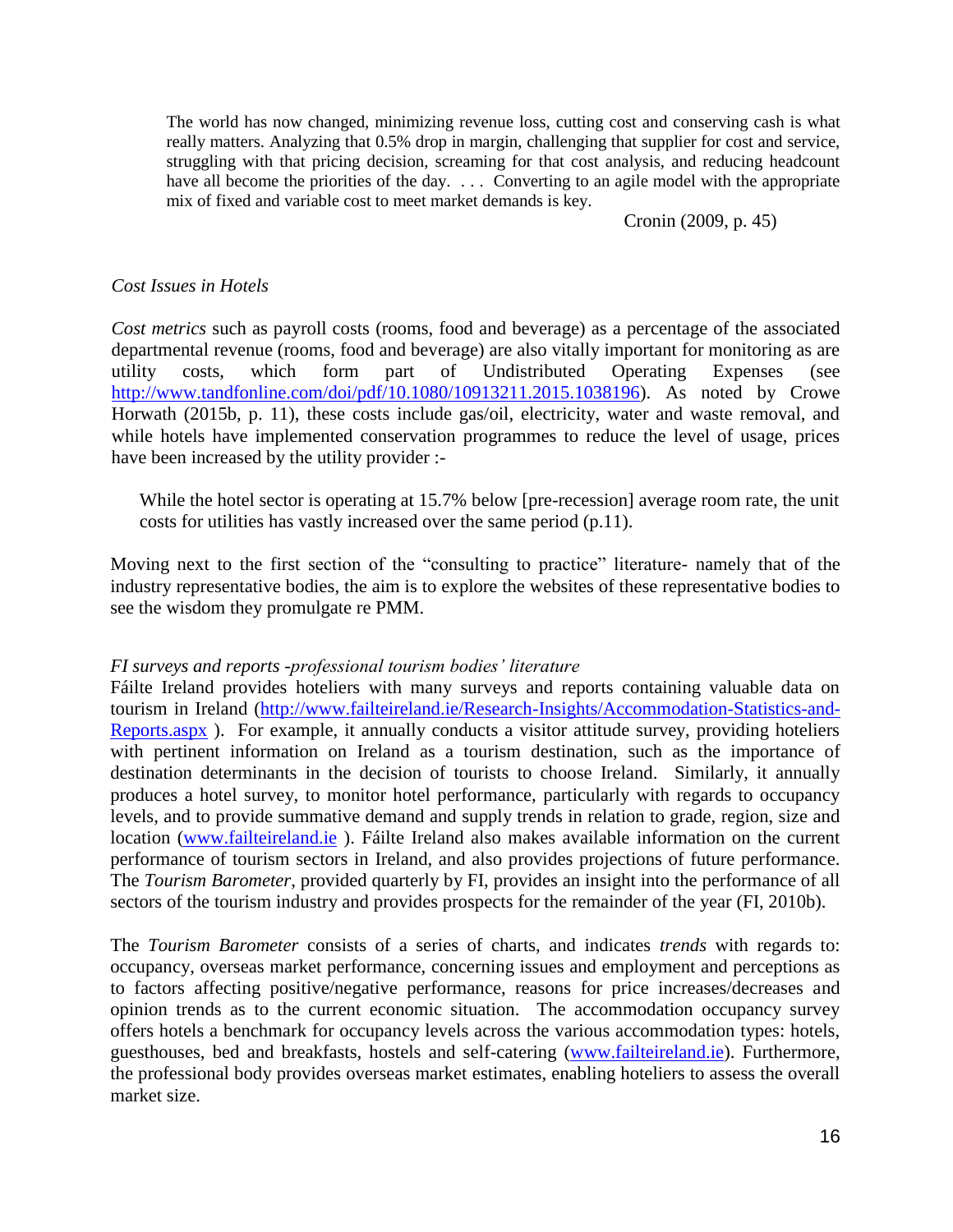The world has now changed, minimizing revenue loss, cutting cost and conserving cash is what really matters. Analyzing that 0.5% drop in margin, challenging that supplier for cost and service, struggling with that pricing decision, screaming for that cost analysis, and reducing headcount have all become the priorities of the day. . . . Converting to an agile model with the appropriate mix of fixed and variable cost to meet market demands is key.

#### Cronin (2009, p. 45)

#### *Cost Issues in Hotels*

*Cost metrics* such as payroll costs (rooms, food and beverage) as a percentage of the associated departmental revenue (rooms, food and beverage) are also vitally important for monitoring as are utility costs, which form part of Undistributed Operating Expenses (see [http://www.tandfonline.com/doi/pdf/10.1080/10913211.2015.1038196\)](http://www.tandfonline.com/doi/pdf/10.1080/10913211.2015.1038196). As noted by Crowe Horwath (2015b, p. 11), these costs include gas/oil, electricity, water and waste removal, and while hotels have implemented conservation programmes to reduce the level of usage, prices have been increased by the utility provider :-

While the hotel sector is operating at 15.7% below [pre-recession] average room rate, the unit costs for utilities has vastly increased over the same period (p.11).

Moving next to the first section of the "consulting to practice" literature- namely that of the industry representative bodies, the aim is to explore the websites of these representative bodies to see the wisdom they promulgate re PMM.

#### *FI surveys and reports -professional tourism bodies' literature*

Fáilte Ireland provides hoteliers with many surveys and reports containing valuable data on tourism in Ireland [\(http://www.failteireland.ie/Research-Insights/Accommodation-Statistics-and-](http://www.failteireland.ie/Research-Insights/Accommodation-Statistics-and-Reports.aspx)[Reports.aspx](http://www.failteireland.ie/Research-Insights/Accommodation-Statistics-and-Reports.aspx) ). For example, it annually conducts a visitor attitude survey, providing hoteliers with pertinent information on Ireland as a tourism destination, such as the importance of destination determinants in the decision of tourists to choose Ireland. Similarly, it annually produces a hotel survey, to monitor hotel performance, particularly with regards to occupancy levels, and to provide summative demand and supply trends in relation to grade, region, size and location [\(www.failteireland.ie](http://www.failteireland.ie/) ). Fáilte Ireland also makes available information on the current performance of tourism sectors in Ireland, and also provides projections of future performance. The *Tourism Barometer*, provided quarterly by FI, provides an insight into the performance of all sectors of the tourism industry and provides prospects for the remainder of the year (FI, 2010b).

The *Tourism Barometer* consists of a series of charts, and indicates *trends* with regards to: occupancy, overseas market performance, concerning issues and employment and perceptions as to factors affecting positive/negative performance, reasons for price increases/decreases and opinion trends as to the current economic situation. The accommodation occupancy survey offers hotels a benchmark for occupancy levels across the various accommodation types: hotels, guesthouses, bed and breakfasts, hostels and self-catering [\(www.failteireland.ie\)](http://www.failteireland.ie/). Furthermore, the professional body provides overseas market estimates, enabling hoteliers to assess the overall market size.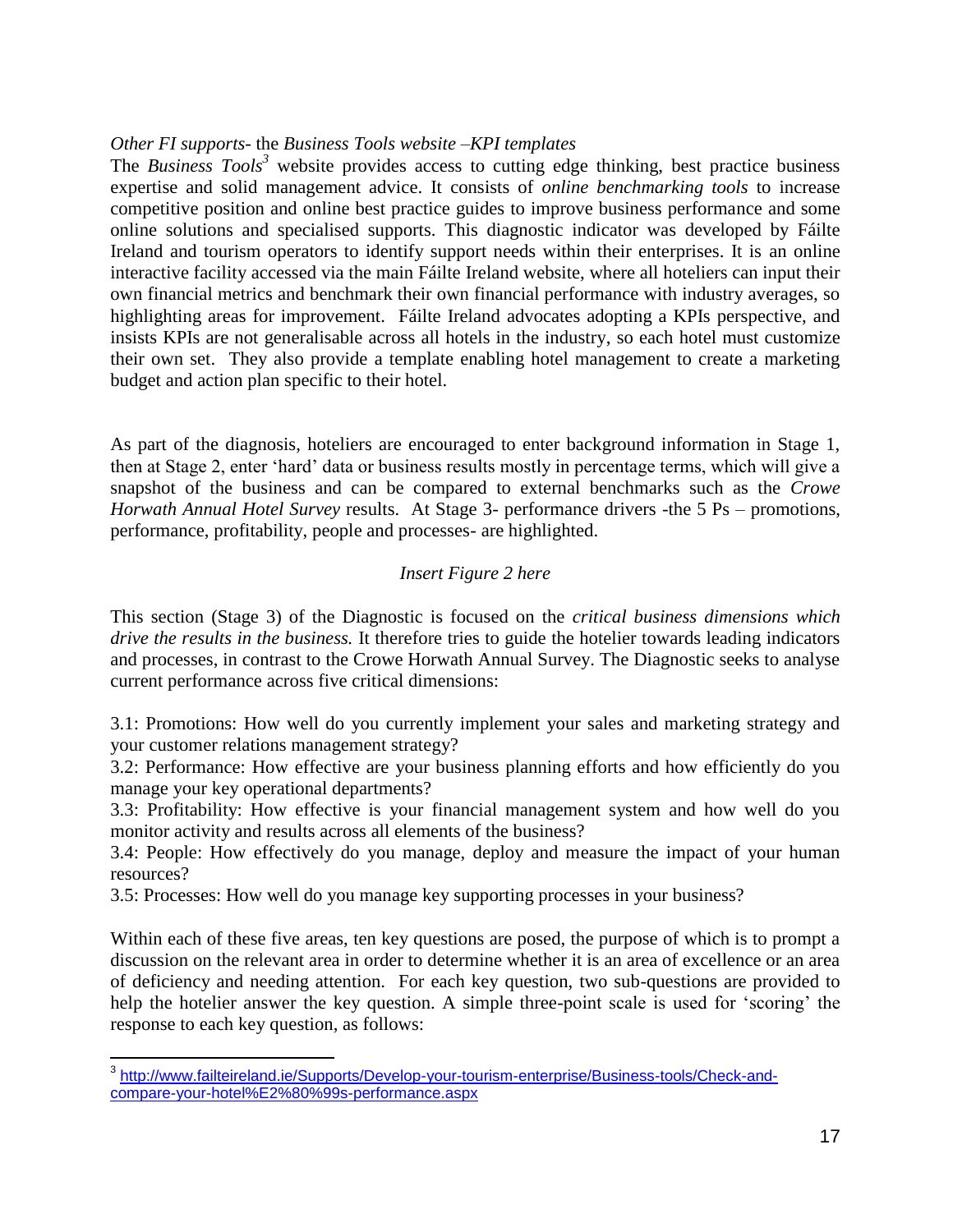## *Other FI supports*- the *Business Tools website* –*KPI templates*

The *Business Tools<sup>3</sup>* website provides access to cutting edge thinking, best practice business expertise and solid management advice. It consists of *online benchmarking tools* to increase competitive position and online best practice guides to improve business performance and some online solutions and specialised supports. This diagnostic indicator was developed by Fáilte Ireland and tourism operators to identify support needs within their enterprises. It is an online interactive facility accessed via the main Fáilte Ireland website, where all hoteliers can input their own financial metrics and benchmark their own financial performance with industry averages, so highlighting areas for improvement. Fáilte Ireland advocates adopting a KPIs perspective, and insists KPIs are not generalisable across all hotels in the industry, so each hotel must customize their own set. They also provide a template enabling hotel management to create a marketing budget and action plan specific to their hotel.

As part of the diagnosis, hoteliers are encouraged to enter background information in Stage 1, then at Stage 2, enter 'hard' data or business results mostly in percentage terms, which will give a snapshot of the business and can be compared to external benchmarks such as the *Crowe Horwath Annual Hotel Survey* results. At Stage 3- performance drivers -the 5 Ps – promotions, performance, profitability, people and processes- are highlighted.

# *Insert Figure 2 here*

This section (Stage 3) of the Diagnostic is focused on the *critical business dimensions which drive the results in the business.* It therefore tries to guide the hotelier towards leading indicators and processes, in contrast to the Crowe Horwath Annual Survey. The Diagnostic seeks to analyse current performance across five critical dimensions:

3.1: Promotions: How well do you currently implement your sales and marketing strategy and your customer relations management strategy?

3.2: Performance: How effective are your business planning efforts and how efficiently do you manage your key operational departments?

3.3: Profitability: How effective is your financial management system and how well do you monitor activity and results across all elements of the business?

3.4: People: How effectively do you manage, deploy and measure the impact of your human resources?

3.5: Processes: How well do you manage key supporting processes in your business?

Within each of these five areas, ten key questions are posed, the purpose of which is to prompt a discussion on the relevant area in order to determine whether it is an area of excellence or an area of deficiency and needing attention. For each key question, two sub-questions are provided to help the hotelier answer the key question. A simple three-point scale is used for 'scoring' the response to each key question, as follows:

l

<sup>&</sup>lt;sup>3</sup> [http://www.failteireland.ie/Supports/Develop-your-tourism-enterprise/Business-tools/Check-and](http://www.failteireland.ie/Supports/Develop-your-tourism-enterprise/Business-tools/Check-and-compare-your-hotel%E2%80%99s-performance.aspx)[compare-your-hotel%E2%80%99s-performance.aspx](http://www.failteireland.ie/Supports/Develop-your-tourism-enterprise/Business-tools/Check-and-compare-your-hotel%E2%80%99s-performance.aspx)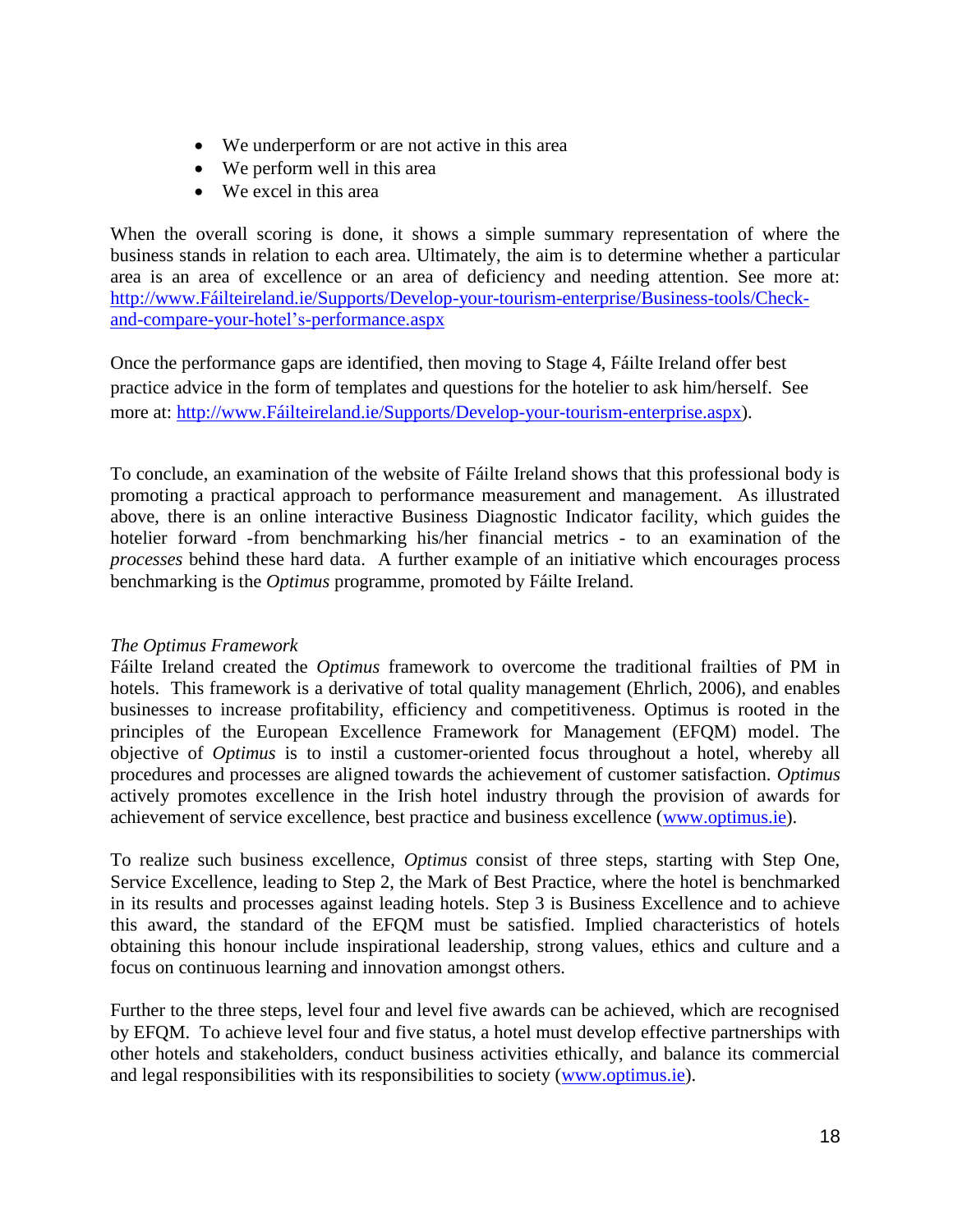- We underperform or are not active in this area
- We perform well in this area
- We excel in this area

When the overall scoring is done, it shows a simple summary representation of where the business stands in relation to each area. Ultimately, the aim is to determine whether a particular area is an area of excellence or an area of deficiency and needing attention. See more at: [http://www.Fáilteireland.ie/Supports/Develop-your-tourism-enterprise/Business-tools/Check](http://www.failteireland.ie/Supports/Develop-your-tourism-enterprise/Business-tools/Check-and-compare-your-hotel)[and-compare-your-hotel's-performance.aspx](http://www.failteireland.ie/Supports/Develop-your-tourism-enterprise/Business-tools/Check-and-compare-your-hotel)

Once the performance gaps are identified, then moving to Stage 4, Fáilte Ireland offer best practice advice in the form of templates and questions for the hotelier to ask him/herself. See more at: [http://www.Fáilteireland.ie/Supports/Develop-your-tourism-enterprise.aspx\)](http://www.failteireland.ie/Supports/Develop-your-tourism-enterprise.aspx).

To conclude, an examination of the website of Fáilte Ireland shows that this professional body is promoting a practical approach to performance measurement and management. As illustrated above, there is an online interactive Business Diagnostic Indicator facility, which guides the hotelier forward -from benchmarking his/her financial metrics - to an examination of the *processes* behind these hard data. A further example of an initiative which encourages process benchmarking is the *Optimus* programme, promoted by Fáilte Ireland.

#### *The Optimus Framework*

Fáilte Ireland created the *Optimus* framework to overcome the traditional frailties of PM in hotels. This framework is a derivative of total quality management (Ehrlich, 2006), and enables businesses to increase profitability, efficiency and competitiveness. Optimus is rooted in the principles of the European Excellence Framework for Management (EFQM) model. The objective of *Optimus* is to instil a customer-oriented focus throughout a hotel, whereby all procedures and processes are aligned towards the achievement of customer satisfaction. *Optimus* actively promotes excellence in the Irish hotel industry through the provision of awards for achievement of service excellence, best practice and business excellence [\(www.optimus.ie\)](http://www.optimus.ie/).

To realize such business excellence, *Optimus* consist of three steps, starting with Step One, Service Excellence, leading to Step 2, the Mark of Best Practice, where the hotel is benchmarked in its results and processes against leading hotels. Step 3 is Business Excellence and to achieve this award, the standard of the EFQM must be satisfied. Implied characteristics of hotels obtaining this honour include inspirational leadership, strong values, ethics and culture and a focus on continuous learning and innovation amongst others.

Further to the three steps, level four and level five awards can be achieved, which are recognised by EFQM. To achieve level four and five status, a hotel must develop effective partnerships with other hotels and stakeholders, conduct business activities ethically, and balance its commercial and legal responsibilities with its responsibilities to society [\(www.optimus.ie\)](http://www.optimus.ie/).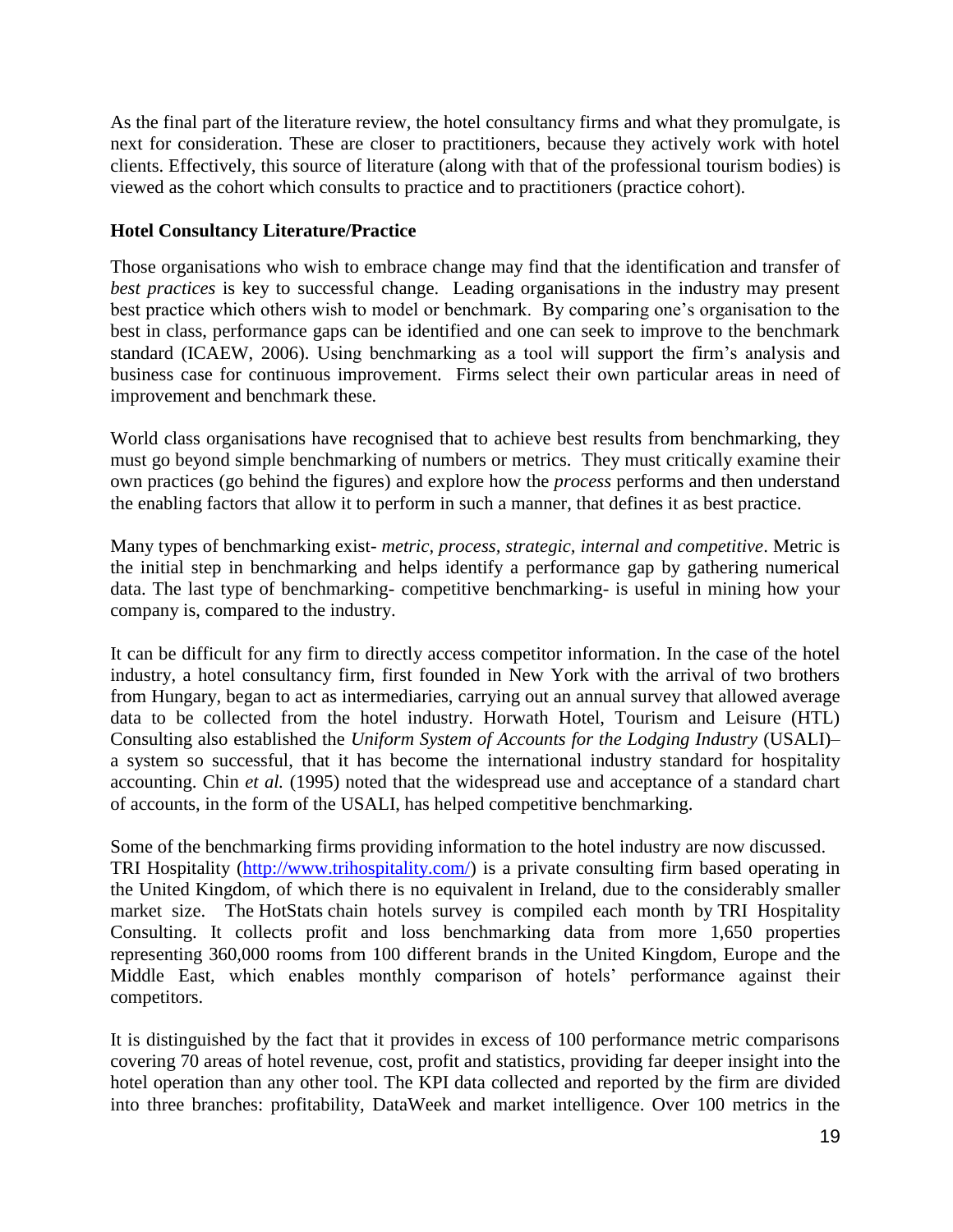As the final part of the literature review, the hotel consultancy firms and what they promulgate, is next for consideration. These are closer to practitioners, because they actively work with hotel clients. Effectively, this source of literature (along with that of the professional tourism bodies) is viewed as the cohort which consults to practice and to practitioners (practice cohort).

# **Hotel Consultancy Literature/Practice**

Those organisations who wish to embrace change may find that the identification and transfer of *best practices* is key to successful change. Leading organisations in the industry may present best practice which others wish to model or benchmark. By comparing one's organisation to the best in class, performance gaps can be identified and one can seek to improve to the benchmark standard (ICAEW, 2006). Using benchmarking as a tool will support the firm's analysis and business case for continuous improvement. Firms select their own particular areas in need of improvement and benchmark these.

World class organisations have recognised that to achieve best results from benchmarking, they must go beyond simple benchmarking of numbers or metrics. They must critically examine their own practices (go behind the figures) and explore how the *process* performs and then understand the enabling factors that allow it to perform in such a manner, that defines it as best practice.

Many types of benchmarking exist- *metric, process, strategic, internal and competitive*. Metric is the initial step in benchmarking and helps identify a performance gap by gathering numerical data. The last type of benchmarking- competitive benchmarking- is useful in mining how your company is, compared to the industry.

It can be difficult for any firm to directly access competitor information. In the case of the hotel industry, a hotel consultancy firm, first founded in New York with the arrival of two brothers from Hungary, began to act as intermediaries, carrying out an annual survey that allowed average data to be collected from the hotel industry. Horwath Hotel, Tourism and Leisure (HTL) Consulting also established the *Uniform System of Accounts for the Lodging Industry* (USALI)– a system so successful, that it has become the international industry standard for hospitality accounting. Chin *et al.* (1995) noted that the widespread use and acceptance of a standard chart of accounts, in the form of the USALI, has helped competitive benchmarking.

Some of the benchmarking firms providing information to the hotel industry are now discussed. TRI Hospitality [\(http://www.trihospitality.com/\)](http://www.trihospitality.com/) is a private consulting firm based operating in the United Kingdom, of which there is no equivalent in Ireland, due to the considerably smaller market size. The [HotStats](http://www.trihospitality.com/Home.aspx?pID=82-0) chain hotels survey is compiled each month by TRI [Hospitality](http://www.trihospitality.com/)  [Consulting.](http://www.trihospitality.com/) It collects profit and loss benchmarking data from more 1,650 properties representing 360,000 rooms from 100 different brands in the United Kingdom, Europe and the Middle East, which enables monthly comparison of hotels' performance against their competitors.

It is distinguished by the fact that it provides in excess of 100 performance metric comparisons covering 70 areas of hotel revenue, cost, profit and statistics, providing far deeper insight into the hotel operation than any other tool. The KPI data collected and reported by the firm are divided into three branches: profitability, DataWeek and market intelligence. Over 100 metrics in the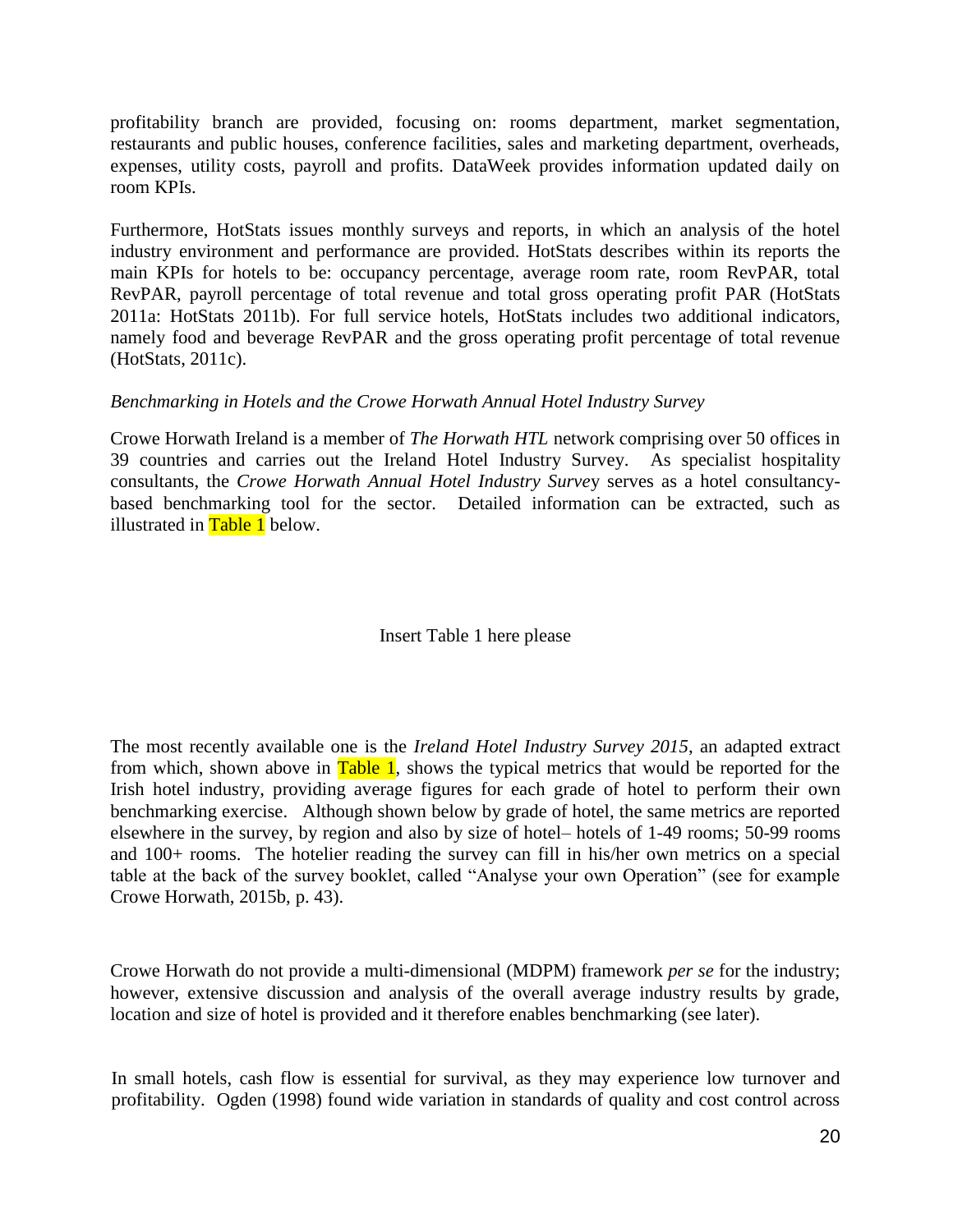profitability branch are provided, focusing on: rooms department, market segmentation, restaurants and public houses, conference facilities, sales and marketing department, overheads, expenses, utility costs, payroll and profits. DataWeek provides information updated daily on room KPIs.

Furthermore, HotStats issues monthly surveys and reports, in which an analysis of the hotel industry environment and performance are provided. HotStats describes within its reports the main KPIs for hotels to be: occupancy percentage, average room rate, room RevPAR, total RevPAR, payroll percentage of total revenue and total gross operating profit PAR (HotStats 2011a: HotStats 2011b). For full service hotels, HotStats includes two additional indicators, namely food and beverage RevPAR and the gross operating profit percentage of total revenue (HotStats, 2011c).

#### *Benchmarking in Hotels and the Crowe Horwath Annual Hotel Industry Survey*

Crowe Horwath Ireland is a member of *The Horwath HTL* network comprising over 50 offices in 39 countries and carries out the Ireland Hotel Industry Survey. As specialist hospitality consultants, the *Crowe Horwath Annual Hotel Industry Surve*y serves as a hotel consultancybased benchmarking tool for the sector. Detailed information can be extracted, such as illustrated in Table 1 below.

#### Insert Table 1 here please

The most recently available one is the *Ireland Hotel Industry Survey 2015*, an adapted extract from which, shown above in  $Table 1$ , shows the typical metrics that would be reported for the Irish hotel industry, providing average figures for each grade of hotel to perform their own benchmarking exercise. Although shown below by grade of hotel, the same metrics are reported elsewhere in the survey, by region and also by size of hotel– hotels of 1-49 rooms; 50-99 rooms and 100+ rooms. The hotelier reading the survey can fill in his/her own metrics on a special table at the back of the survey booklet, called "Analyse your own Operation" (see for example Crowe Horwath, 2015b, p. 43).

Crowe Horwath do not provide a multi-dimensional (MDPM) framework *per se* for the industry; however, extensive discussion and analysis of the overall average industry results by grade, location and size of hotel is provided and it therefore enables benchmarking (see later).

In small hotels, cash flow is essential for survival, as they may experience low turnover and profitability. Ogden (1998) found wide variation in standards of quality and cost control across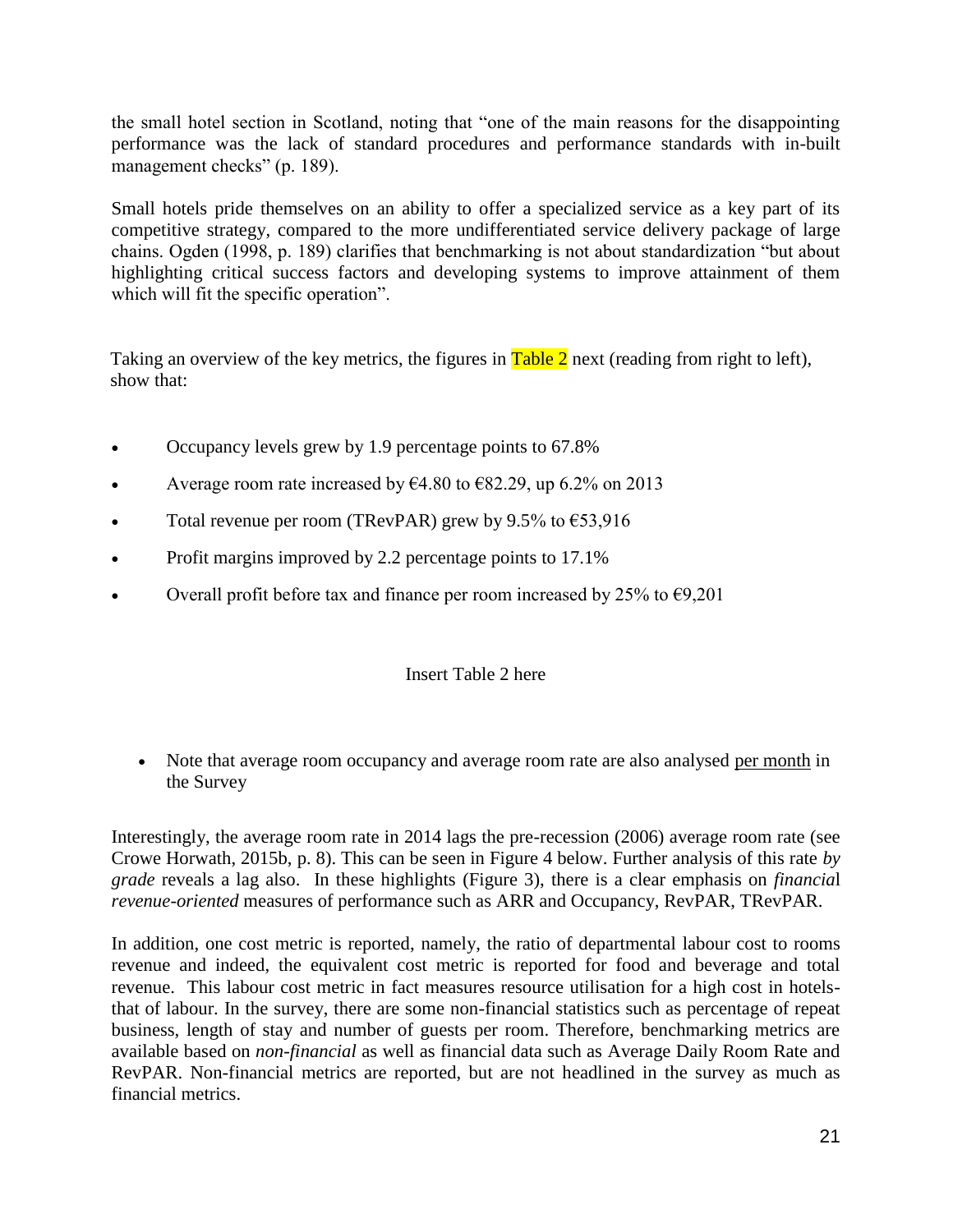the small hotel section in Scotland, noting that "one of the main reasons for the disappointing performance was the lack of standard procedures and performance standards with in-built management checks" (p. 189).

Small hotels pride themselves on an ability to offer a specialized service as a key part of its competitive strategy, compared to the more undifferentiated service delivery package of large chains. Ogden (1998, p. 189) clarifies that benchmarking is not about standardization "but about highlighting critical success factors and developing systems to improve attainment of them which will fit the specific operation".

Taking an overview of the key metrics, the figures in Table 2 next (reading from right to left), show that:

- Occupancy levels grew by 1.9 percentage points to 67.8%
- Average room rate increased by  $64.80$  to  $682.29$ , up 6.2% on 2013
- Total revenue per room (TRevPAR) grew by 9.5% to  $\epsilon$ 53,916
- Profit margins improved by 2.2 percentage points to 17.1%
- Overall profit before tax and finance per room increased by 25% to  $\epsilon$ 9,201

#### Insert Table 2 here

• Note that average room occupancy and average room rate are also analysed per month in the Survey

Interestingly, the average room rate in 2014 lags the pre-recession (2006) average room rate (see Crowe Horwath, 2015b, p. 8). This can be seen in Figure 4 below. Further analysis of this rate *by grade* reveals a lag also. In these highlights (Figure 3), there is a clear emphasis on *financia*l *revenue-oriented* measures of performance such as ARR and Occupancy, RevPAR, TRevPAR.

In addition, one cost metric is reported, namely, the ratio of departmental labour cost to rooms revenue and indeed, the equivalent cost metric is reported for food and beverage and total revenue. This labour cost metric in fact measures resource utilisation for a high cost in hotelsthat of labour. In the survey, there are some non-financial statistics such as percentage of repeat business, length of stay and number of guests per room. Therefore, benchmarking metrics are available based on *non-financial* as well as financial data such as Average Daily Room Rate and RevPAR. Non-financial metrics are reported, but are not headlined in the survey as much as financial metrics.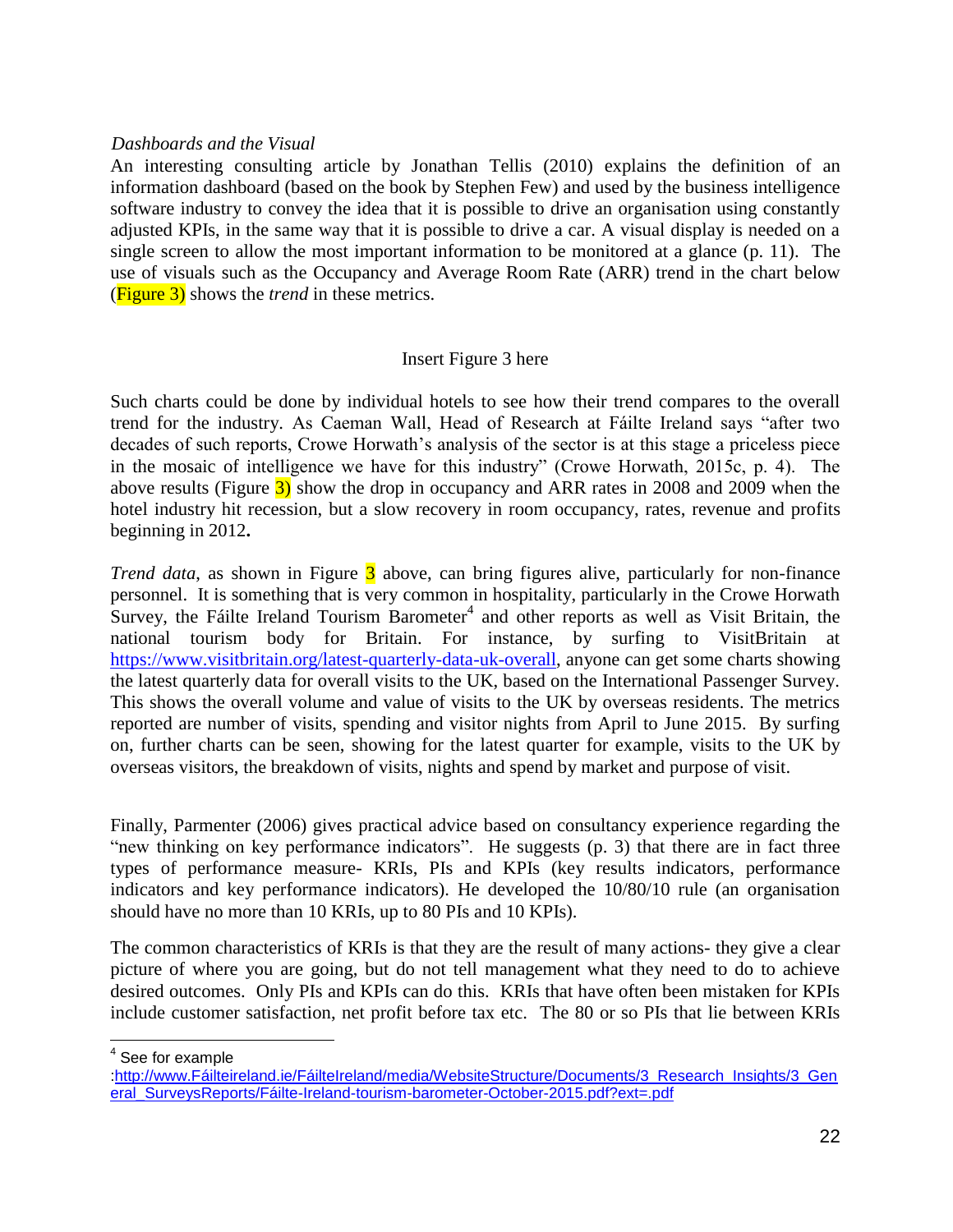#### *Dashboards and the Visual*

An interesting consulting article by Jonathan Tellis (2010) explains the definition of an information dashboard (based on the book by Stephen Few) and used by the business intelligence software industry to convey the idea that it is possible to drive an organisation using constantly adjusted KPIs, in the same way that it is possible to drive a car. A visual display is needed on a single screen to allow the most important information to be monitored at a glance (p. 11). The use of visuals such as the Occupancy and Average Room Rate (ARR) trend in the chart below (Figure 3) shows the *trend* in these metrics.

#### Insert Figure 3 here

Such charts could be done by individual hotels to see how their trend compares to the overall trend for the industry. As Caeman Wall, Head of Research at Fáilte Ireland says "after two decades of such reports, Crowe Horwath's analysis of the sector is at this stage a priceless piece in the mosaic of intelligence we have for this industry" (Crowe Horwath, 2015c, p. 4). The above results (Figure  $\frac{3}{2}$ ) show the drop in occupancy and ARR rates in 2008 and 2009 when the hotel industry hit recession, but a slow recovery in room occupancy, rates, revenue and profits beginning in 2012**.** 

*Trend data*, as shown in Figure 3 above, can bring figures alive, particularly for non-finance personnel. It is something that is very common in hospitality, particularly in the Crowe Horwath Survey, the Fáilte Ireland Tourism Barometer<sup>4</sup> and other reports as well as Visit Britain, the national tourism body for Britain. For instance, by surfing to VisitBritain at [https://www.visitbritain.org/latest-quarterly-data-uk-overall,](https://www.visitbritain.org/latest-quarterly-data-uk-overall) anyone can get some charts showing the latest quarterly data for overall visits to the UK, based on the International Passenger Survey. This shows the overall volume and value of visits to the UK by overseas residents. The metrics reported are number of visits, spending and visitor nights from April to June 2015. By surfing on, further charts can be seen, showing for the latest quarter for example, visits to the UK by overseas visitors, the breakdown of visits, nights and spend by market and purpose of visit.

Finally, Parmenter (2006) gives practical advice based on consultancy experience regarding the "new thinking on key performance indicators". He suggests (p. 3) that there are in fact three types of performance measure- KRIs, PIs and KPIs (key results indicators, performance indicators and key performance indicators). He developed the 10/80/10 rule (an organisation should have no more than 10 KRIs, up to 80 PIs and 10 KPIs).

The common characteristics of KRIs is that they are the result of many actions- they give a clear picture of where you are going, but do not tell management what they need to do to achieve desired outcomes. Only PIs and KPIs can do this. KRIs that have often been mistaken for KPIs include customer satisfaction, net profit before tax etc. The 80 or so PIs that lie between KRIs

4 See for example

[<sup>:</sup>http://www.Fáilteireland.ie/FáilteIreland/media/WebsiteStructure/Documents/3\\_Research\\_Insights/3\\_Gen](http://www.failteireland.ie/FailteIreland/media/WebsiteStructure/Documents/3_Research_Insights/3_General_SurveysReports/Failte-Ireland-tourism-barometer-October-2015.pdf?ext=.pdf) [eral\\_SurveysReports/Fáilte-Ireland-tourism-barometer-October-2015.pdf?ext=.pdf](http://www.failteireland.ie/FailteIreland/media/WebsiteStructure/Documents/3_Research_Insights/3_General_SurveysReports/Failte-Ireland-tourism-barometer-October-2015.pdf?ext=.pdf)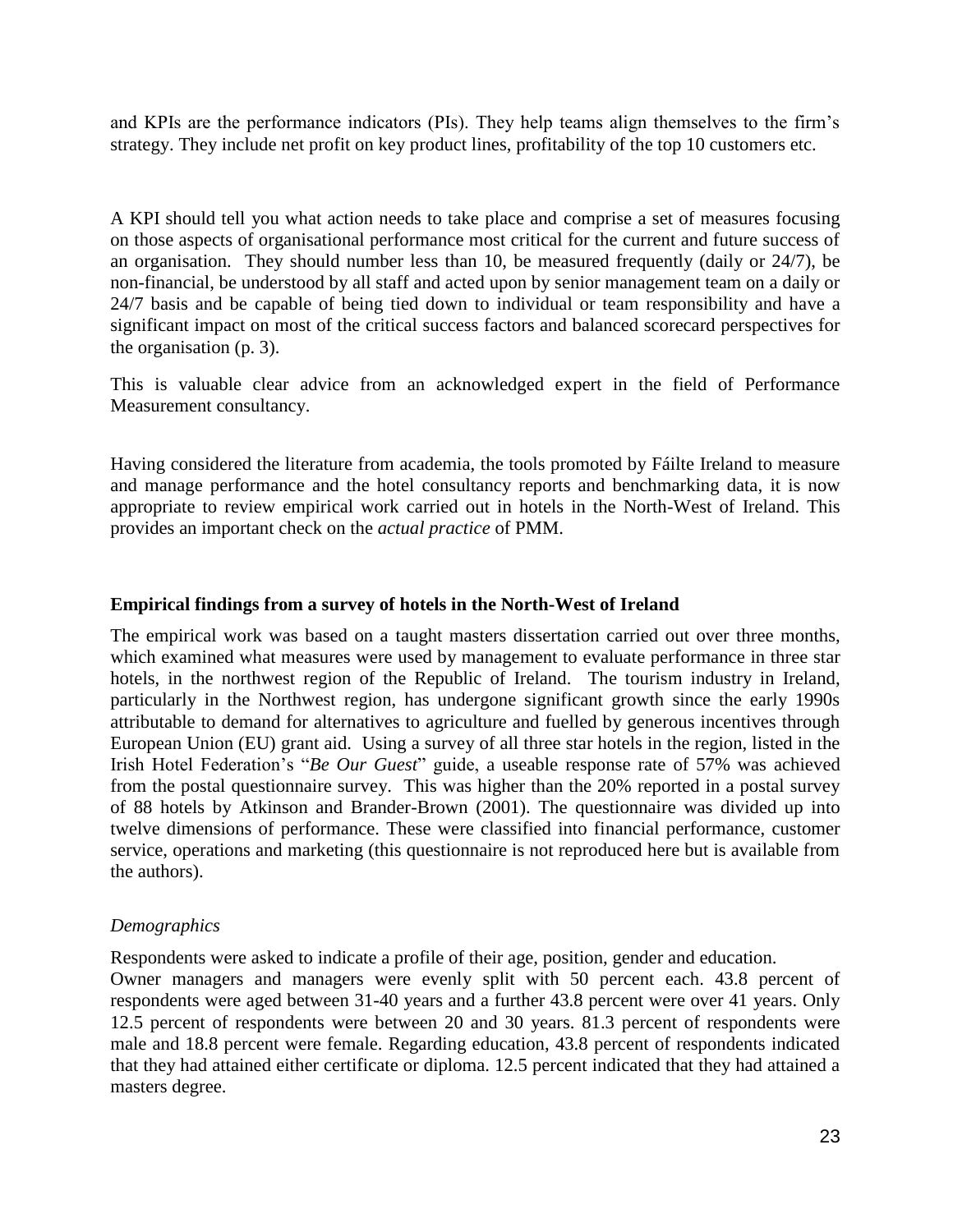and KPIs are the performance indicators (PIs). They help teams align themselves to the firm's strategy. They include net profit on key product lines, profitability of the top 10 customers etc.

A KPI should tell you what action needs to take place and comprise a set of measures focusing on those aspects of organisational performance most critical for the current and future success of an organisation. They should number less than 10, be measured frequently (daily or 24/7), be non-financial, be understood by all staff and acted upon by senior management team on a daily or 24/7 basis and be capable of being tied down to individual or team responsibility and have a significant impact on most of the critical success factors and balanced scorecard perspectives for the organisation (p. 3).

This is valuable clear advice from an acknowledged expert in the field of Performance Measurement consultancy.

Having considered the literature from academia, the tools promoted by Fáilte Ireland to measure and manage performance and the hotel consultancy reports and benchmarking data, it is now appropriate to review empirical work carried out in hotels in the North-West of Ireland. This provides an important check on the *actual practice* of PMM.

## **Empirical findings from a survey of hotels in the North-West of Ireland**

The empirical work was based on a taught masters dissertation carried out over three months, which examined what measures were used by management to evaluate performance in three star hotels, in the northwest region of the Republic of Ireland. The tourism industry in Ireland, particularly in the Northwest region, has undergone significant growth since the early 1990s attributable to demand for alternatives to agriculture and fuelled by generous incentives through European Union (EU) grant aid. Using a survey of all three star hotels in the region, listed in the Irish Hotel Federation's "*Be Our Guest*" guide, a useable response rate of 57% was achieved from the postal questionnaire survey. This was higher than the 20% reported in a postal survey of 88 hotels by Atkinson and Brander-Brown (2001). The questionnaire was divided up into twelve dimensions of performance. These were classified into financial performance, customer service, operations and marketing (this questionnaire is not reproduced here but is available from the authors).

# *Demographics*

Respondents were asked to indicate a profile of their age, position, gender and education.

Owner managers and managers were evenly split with 50 percent each. 43.8 percent of respondents were aged between 31-40 years and a further 43.8 percent were over 41 years. Only 12.5 percent of respondents were between 20 and 30 years. 81.3 percent of respondents were male and 18.8 percent were female. Regarding education, 43.8 percent of respondents indicated that they had attained either certificate or diploma. 12.5 percent indicated that they had attained a masters degree.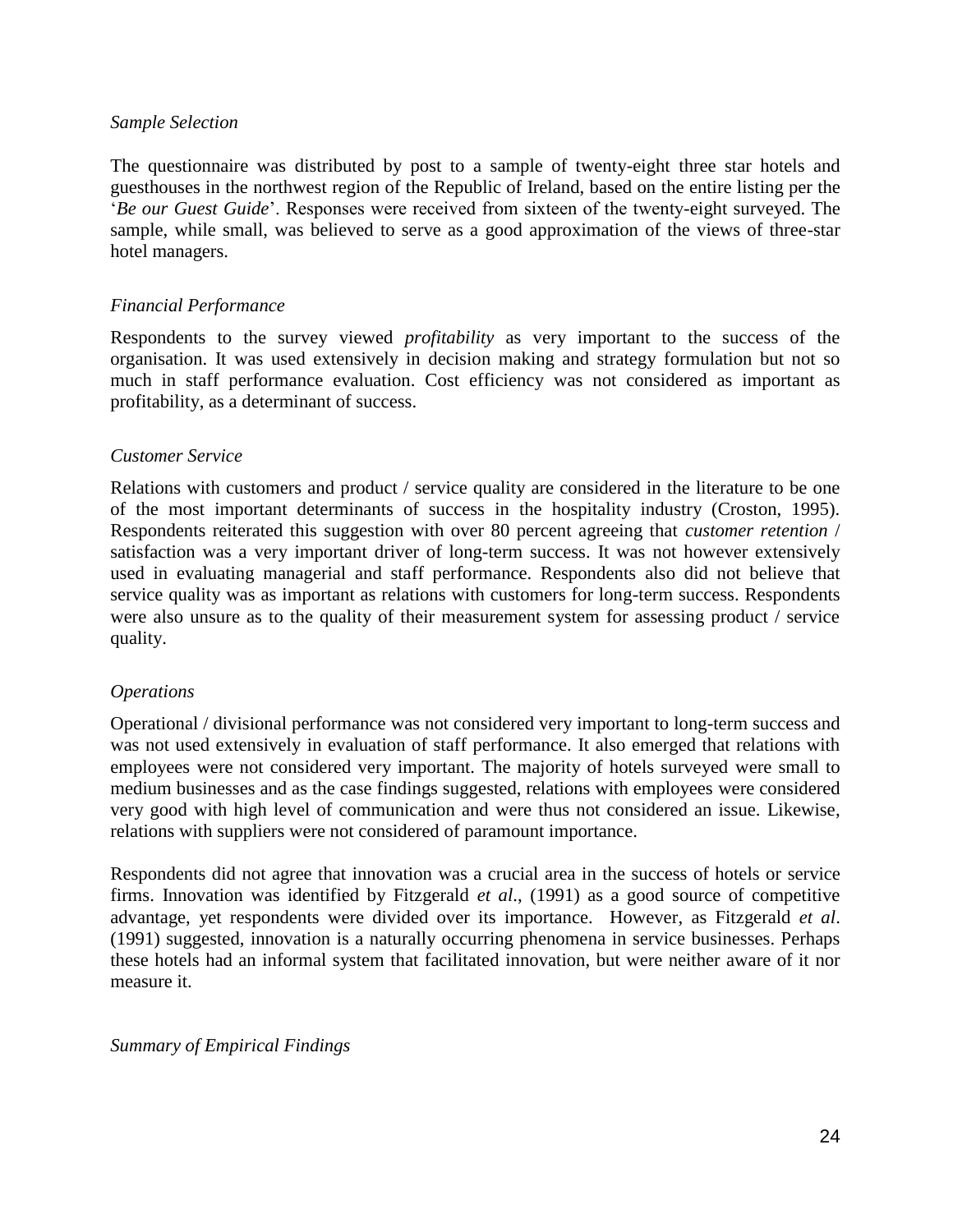#### *Sample Selection*

The questionnaire was distributed by post to a sample of twenty-eight three star hotels and guesthouses in the northwest region of the Republic of Ireland, based on the entire listing per the '*Be our Guest Guide*'. Responses were received from sixteen of the twenty-eight surveyed. The sample, while small, was believed to serve as a good approximation of the views of three-star hotel managers.

## *Financial Performance*

Respondents to the survey viewed *profitability* as very important to the success of the organisation. It was used extensively in decision making and strategy formulation but not so much in staff performance evaluation. Cost efficiency was not considered as important as profitability, as a determinant of success.

#### *Customer Service*

Relations with customers and product / service quality are considered in the literature to be one of the most important determinants of success in the hospitality industry (Croston, 1995). Respondents reiterated this suggestion with over 80 percent agreeing that *customer retention* / satisfaction was a very important driver of long-term success. It was not however extensively used in evaluating managerial and staff performance. Respondents also did not believe that service quality was as important as relations with customers for long-term success. Respondents were also unsure as to the quality of their measurement system for assessing product / service quality.

#### *Operations*

Operational / divisional performance was not considered very important to long-term success and was not used extensively in evaluation of staff performance. It also emerged that relations with employees were not considered very important. The majority of hotels surveyed were small to medium businesses and as the case findings suggested, relations with employees were considered very good with high level of communication and were thus not considered an issue. Likewise, relations with suppliers were not considered of paramount importance.

Respondents did not agree that innovation was a crucial area in the success of hotels or service firms. Innovation was identified by Fitzgerald *et al*., (1991) as a good source of competitive advantage, yet respondents were divided over its importance. However, as Fitzgerald *et al*. (1991) suggested, innovation is a naturally occurring phenomena in service businesses. Perhaps these hotels had an informal system that facilitated innovation, but were neither aware of it nor measure it.

#### *Summary of Empirical Findings*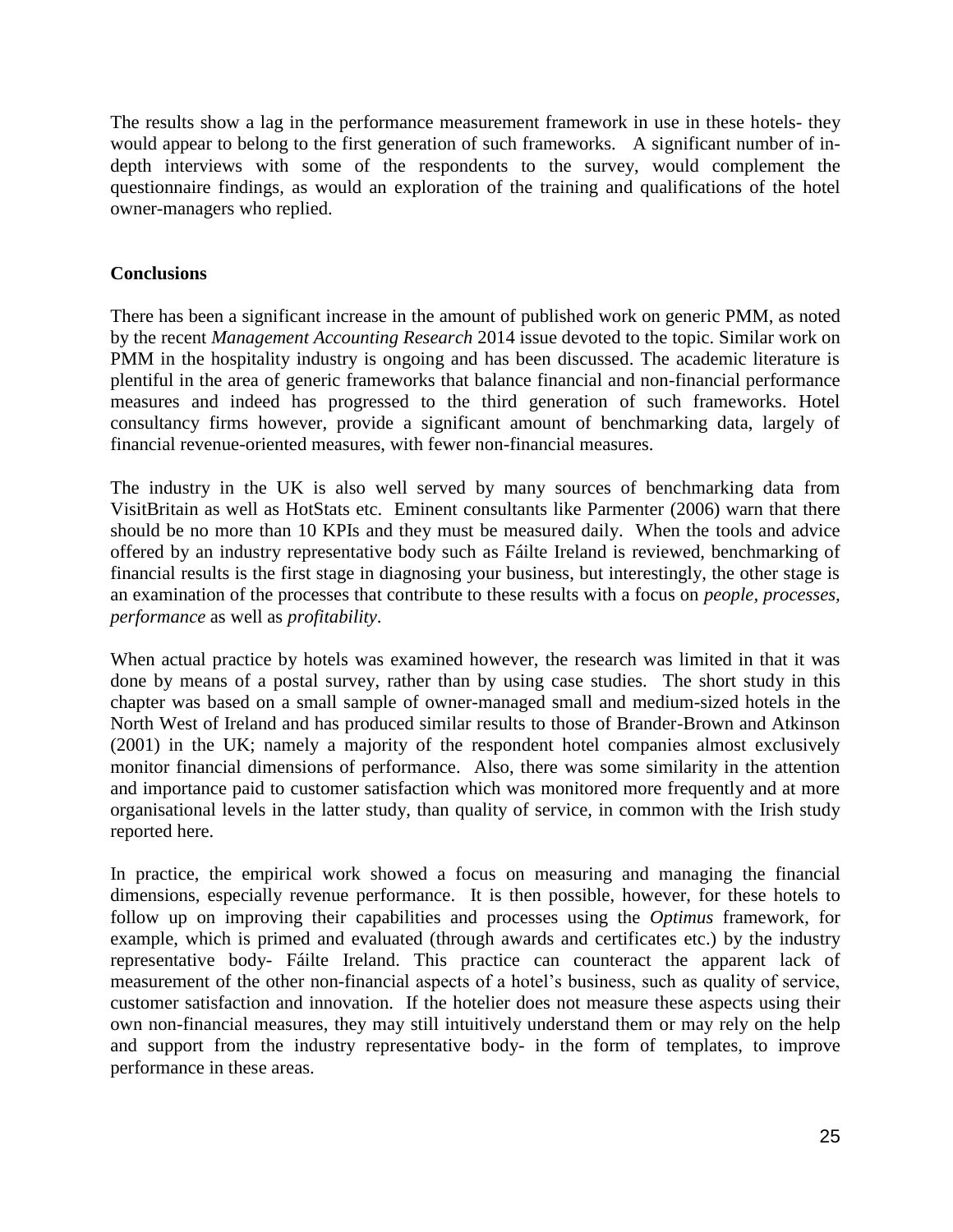The results show a lag in the performance measurement framework in use in these hotels- they would appear to belong to the first generation of such frameworks. A significant number of indepth interviews with some of the respondents to the survey, would complement the questionnaire findings, as would an exploration of the training and qualifications of the hotel owner-managers who replied.

## **Conclusions**

There has been a significant increase in the amount of published work on generic PMM, as noted by the recent *Management Accounting Research* 2014 issue devoted to the topic. Similar work on PMM in the hospitality industry is ongoing and has been discussed. The academic literature is plentiful in the area of generic frameworks that balance financial and non-financial performance measures and indeed has progressed to the third generation of such frameworks. Hotel consultancy firms however, provide a significant amount of benchmarking data, largely of financial revenue-oriented measures, with fewer non-financial measures.

The industry in the UK is also well served by many sources of benchmarking data from VisitBritain as well as HotStats etc. Eminent consultants like Parmenter (2006) warn that there should be no more than 10 KPIs and they must be measured daily. When the tools and advice offered by an industry representative body such as Fáilte Ireland is reviewed, benchmarking of financial results is the first stage in diagnosing your business, but interestingly, the other stage is an examination of the processes that contribute to these results with a focus on *people, processes, performance* as well as *profitability*.

When actual practice by hotels was examined however, the research was limited in that it was done by means of a postal survey, rather than by using case studies. The short study in this chapter was based on a small sample of owner-managed small and medium-sized hotels in the North West of Ireland and has produced similar results to those of Brander-Brown and Atkinson (2001) in the UK; namely a majority of the respondent hotel companies almost exclusively monitor financial dimensions of performance. Also, there was some similarity in the attention and importance paid to customer satisfaction which was monitored more frequently and at more organisational levels in the latter study, than quality of service, in common with the Irish study reported here.

In practice, the empirical work showed a focus on measuring and managing the financial dimensions, especially revenue performance. It is then possible, however, for these hotels to follow up on improving their capabilities and processes using the *Optimus* framework, for example, which is primed and evaluated (through awards and certificates etc.) by the industry representative body- Fáilte Ireland. This practice can counteract the apparent lack of measurement of the other non-financial aspects of a hotel's business, such as quality of service, customer satisfaction and innovation. If the hotelier does not measure these aspects using their own non-financial measures, they may still intuitively understand them or may rely on the help and support from the industry representative body- in the form of templates, to improve performance in these areas.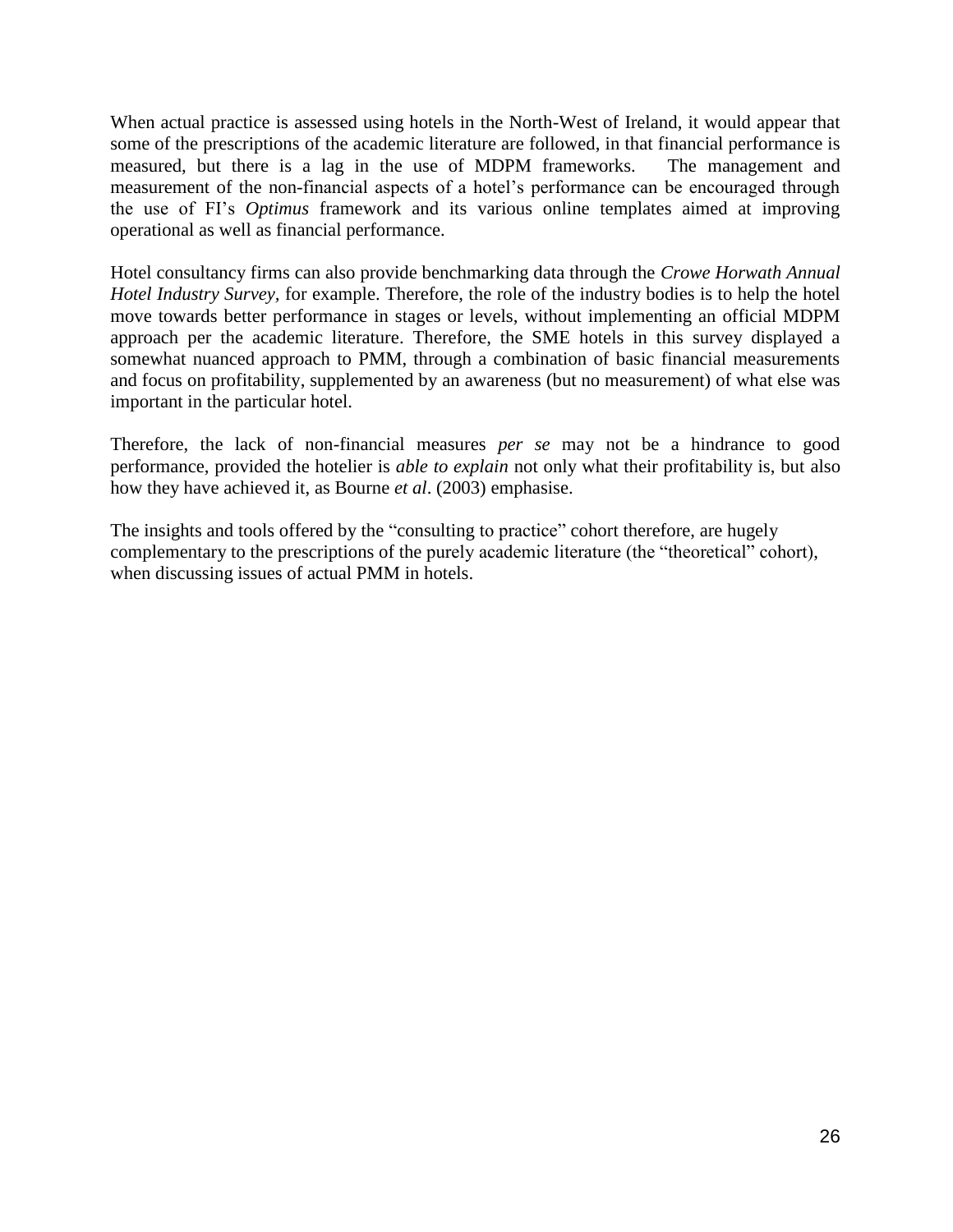When actual practice is assessed using hotels in the North-West of Ireland, it would appear that some of the prescriptions of the academic literature are followed, in that financial performance is measured, but there is a lag in the use of MDPM frameworks. The management and measurement of the non-financial aspects of a hotel's performance can be encouraged through the use of FI's *Optimus* framework and its various online templates aimed at improving operational as well as financial performance.

Hotel consultancy firms can also provide benchmarking data through the *Crowe Horwath Annual Hotel Industry Survey,* for example. Therefore, the role of the industry bodies is to help the hotel move towards better performance in stages or levels, without implementing an official MDPM approach per the academic literature. Therefore, the SME hotels in this survey displayed a somewhat nuanced approach to PMM, through a combination of basic financial measurements and focus on profitability, supplemented by an awareness (but no measurement) of what else was important in the particular hotel.

Therefore, the lack of non-financial measures *per se* may not be a hindrance to good performance, provided the hotelier is *able to explain* not only what their profitability is, but also how they have achieved it, as Bourne *et al*. (2003) emphasise.

The insights and tools offered by the "consulting to practice" cohort therefore, are hugely complementary to the prescriptions of the purely academic literature (the "theoretical" cohort), when discussing issues of actual PMM in hotels.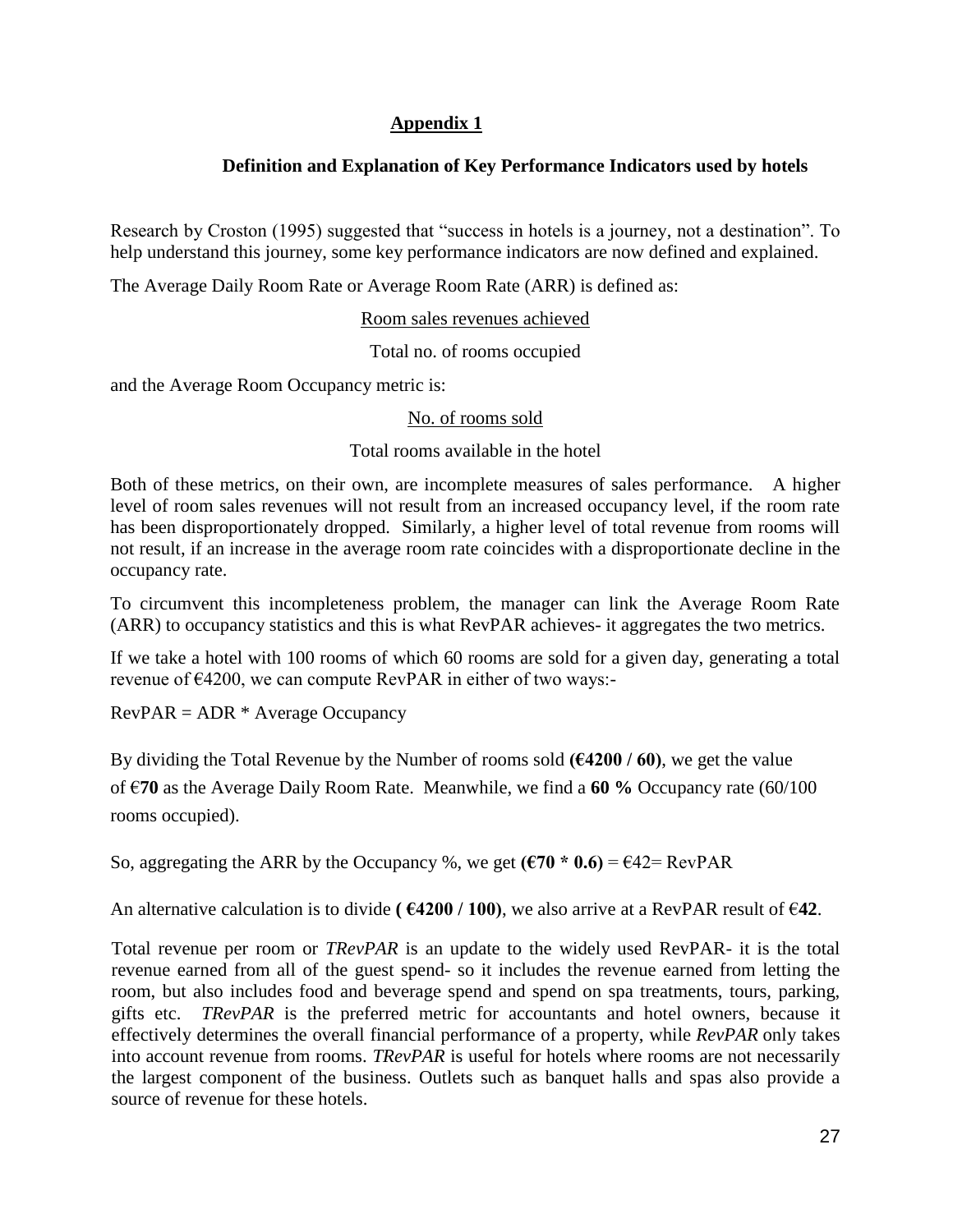# **Appendix 1**

# **Definition and Explanation of Key Performance Indicators used by hotels**

Research by Croston (1995) suggested that "success in hotels is a journey, not a destination". To help understand this journey, some key performance indicators are now defined and explained.

The Average Daily Room Rate or Average Room Rate (ARR) is defined as:

## Room sales revenues achieved

Total no. of rooms occupied

and the Average Room Occupancy metric is:

## No. of rooms sold

## Total rooms available in the hotel

Both of these metrics, on their own, are incomplete measures of sales performance. A higher level of room sales revenues will not result from an increased occupancy level, if the room rate has been disproportionately dropped. Similarly, a higher level of total revenue from rooms will not result, if an increase in the average room rate coincides with a disproportionate decline in the occupancy rate.

To circumvent this incompleteness problem, the manager can link the Average Room Rate (ARR) to occupancy statistics and this is what RevPAR achieves- it aggregates the two metrics.

If we take a hotel with 100 rooms of which 60 rooms are sold for a given day, generating a total revenue of  $\epsilon$ 4200, we can compute RevPAR in either of two ways:-

 $RevPAR = ADR * Average Occupancy$ 

By dividing the Total Revenue by the Number of rooms sold **(€4200 / 60)**, we get the value of €**70** as the Average Daily Room Rate. Meanwhile, we find a **60 %** Occupancy rate (60/100 rooms occupied).

So, aggregating the ARR by the Occupancy %, we get  $(670 * 0.6) = 642 = \text{RevPAR}$ 

An alternative calculation is to divide  $(64200 / 100)$ , we also arrive at a RevPAR result of  $642$ .

Total revenue per room or *TRevPAR* is an update to the widely used RevPAR- it is the total revenue earned from all of the guest spend- so it includes the revenue earned from letting the room, but also includes food and beverage spend and spend on spa treatments, tours, parking, gifts etc. *TRevPAR* is the preferred metric for accountants and hotel owners, because it effectively determines the overall financial performance of a property, while *[RevPAR](https://en.wikipedia.org/wiki/RevPAR)* only takes into account revenue from rooms. *TRevPAR* is useful for hotels where rooms are not necessarily the largest component of the business. Outlets such as banquet halls and spas also provide a source of revenue for these hotels.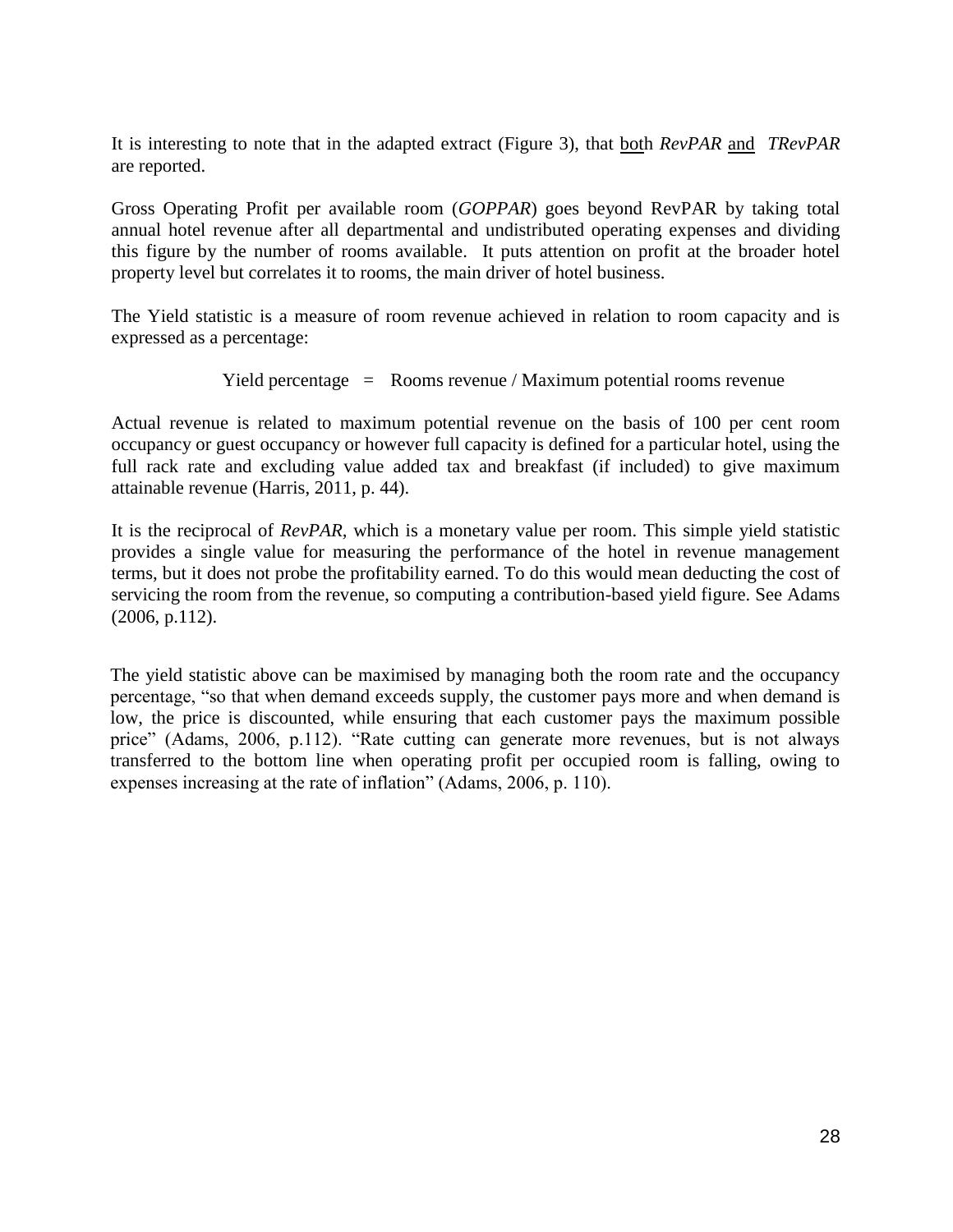It is interesting to note that in the adapted extract (Figure 3), that both *RevPAR* and *TRevPAR* are reported.

Gross Operating Profit per available room (*GOPPAR*) goes beyond RevPAR by taking total annual hotel revenue after all departmental and undistributed operating expenses and dividing this figure by the number of rooms available. It puts attention on profit at the broader hotel property level but correlates it to rooms, the main driver of hotel business.

The Yield statistic is a measure of room revenue achieved in relation to room capacity and is expressed as a percentage:

Yield percentage = Rooms revenue / Maximum potential rooms revenue

Actual revenue is related to maximum potential revenue on the basis of 100 per cent room occupancy or guest occupancy or however full capacity is defined for a particular hotel, using the full rack rate and excluding value added tax and breakfast (if included) to give maximum attainable revenue (Harris, 2011, p. 44).

It is the reciprocal of *RevPAR,* which is a monetary value per room. This simple yield statistic provides a single value for measuring the performance of the hotel in revenue management terms, but it does not probe the profitability earned. To do this would mean deducting the cost of servicing the room from the revenue, so computing a contribution-based yield figure. See Adams (2006, p.112).

The yield statistic above can be maximised by managing both the room rate and the occupancy percentage, "so that when demand exceeds supply, the customer pays more and when demand is low, the price is discounted, while ensuring that each customer pays the maximum possible price" (Adams, 2006, p.112). "Rate cutting can generate more revenues, but is not always transferred to the bottom line when operating profit per occupied room is falling, owing to expenses increasing at the rate of inflation" (Adams, 2006, p. 110).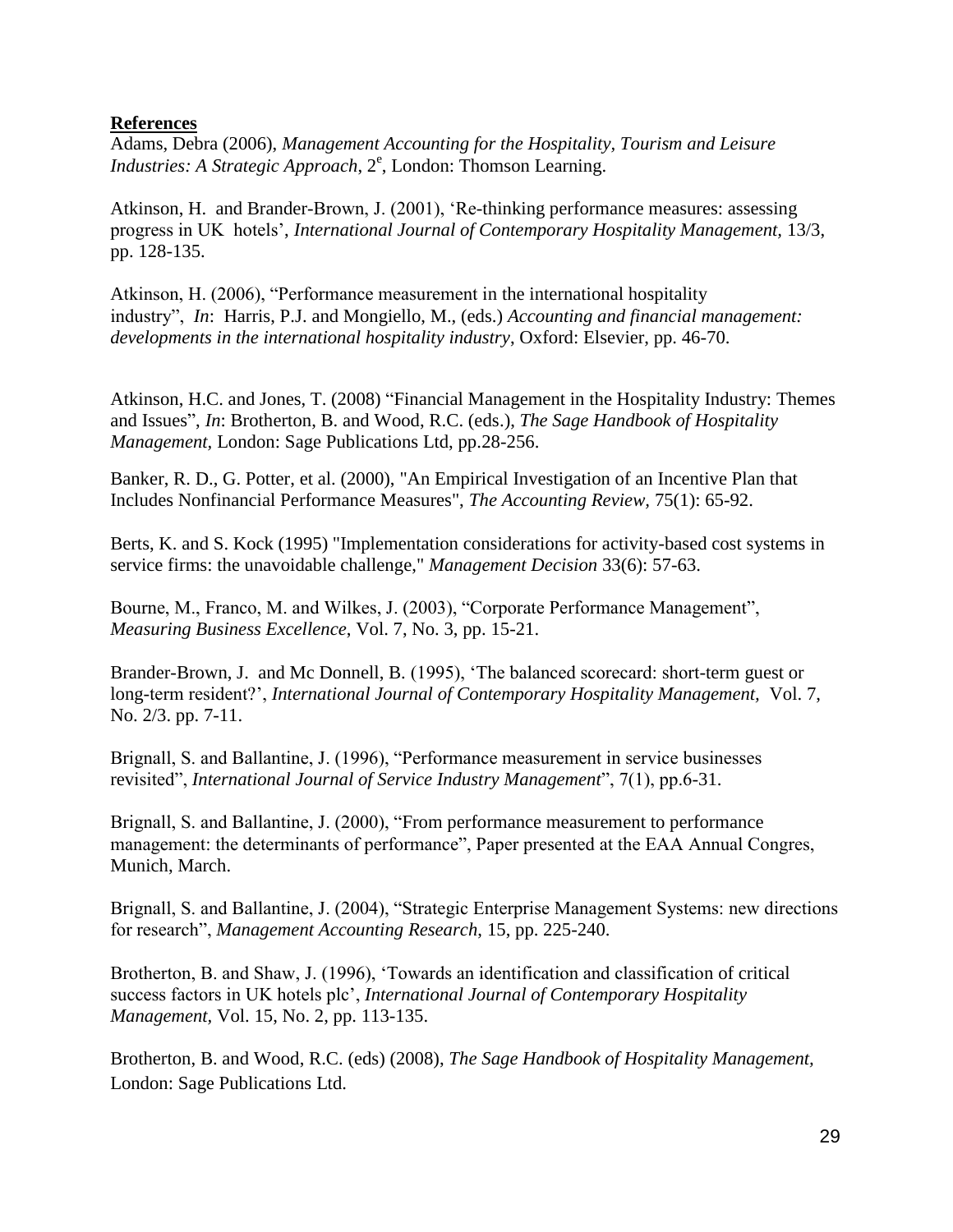#### **References**

Adams, Debra (2006), *Management Accounting for the Hospitality, Tourism and Leisure*  Industries: A Strategic Approach, 2<sup>e</sup>, London: Thomson Learning.

Atkinson, H. and Brander-Brown, J. (2001), 'Re-thinking performance measures: assessing progress in UK hotels', *International Journal of Contemporary Hospitality Management,* 13/3, pp. 128-135.

Atkinson, H. (2006), "Performance measurement in the international hospitality industry", *In*: Harris, P.J. and Mongiello, M., (eds.) *Accounting and financial management: developments in the international hospitality industry*, Oxford: Elsevier, pp. 46-70.

Atkinson, H.C. and Jones, T. (2008) "Financial Management in the Hospitality Industry: Themes and Issues", *In*: Brotherton, B. and Wood, R.C. (eds.), *The Sage Handbook of Hospitality Management,* London: Sage Publications Ltd, pp.28-256.

Banker, R. D., G. Potter, et al. (2000), "An Empirical Investigation of an Incentive Plan that Includes Nonfinancial Performance Measures", *The Accounting Review,* 75(1): 65-92.

Berts, K. and S. Kock (1995) "Implementation considerations for activity-based cost systems in service firms: the unavoidable challenge," *Management Decision* 33(6): 57-63.

Bourne, M., Franco, M. and Wilkes, J. (2003), "Corporate Performance Management", *Measuring Business Excellence*, Vol. 7, No. 3, pp. 15-21.

Brander-Brown, J. and Mc Donnell, B. (1995), 'The balanced scorecard: short-term guest or long-term resident?', *International Journal of Contemporary Hospitality Management, Vol. 7,* No. 2/3. pp. 7-11.

Brignall, S. and Ballantine, J. (1996), "Performance measurement in service businesses revisited", *International Journal of Service Industry Management*", 7(1), pp.6-31.

Brignall, S. and Ballantine, J. (2000), "From performance measurement to performance management: the determinants of performance", Paper presented at the EAA Annual Congres, Munich, March.

Brignall, S. and Ballantine, J. (2004), "Strategic Enterprise Management Systems: new directions for research", *Management Accounting Research*, 15, pp. 225-240.

Brotherton, B. and Shaw, J. (1996), 'Towards an identification and classification of critical success factors in UK hotels plc', *International Journal of Contemporary Hospitality Management,* Vol. 15, No. 2, pp. 113-135.

Brotherton, B. and Wood, R.C. (eds) (2008), *The Sage Handbook of Hospitality Management,*  London: Sage Publications Ltd.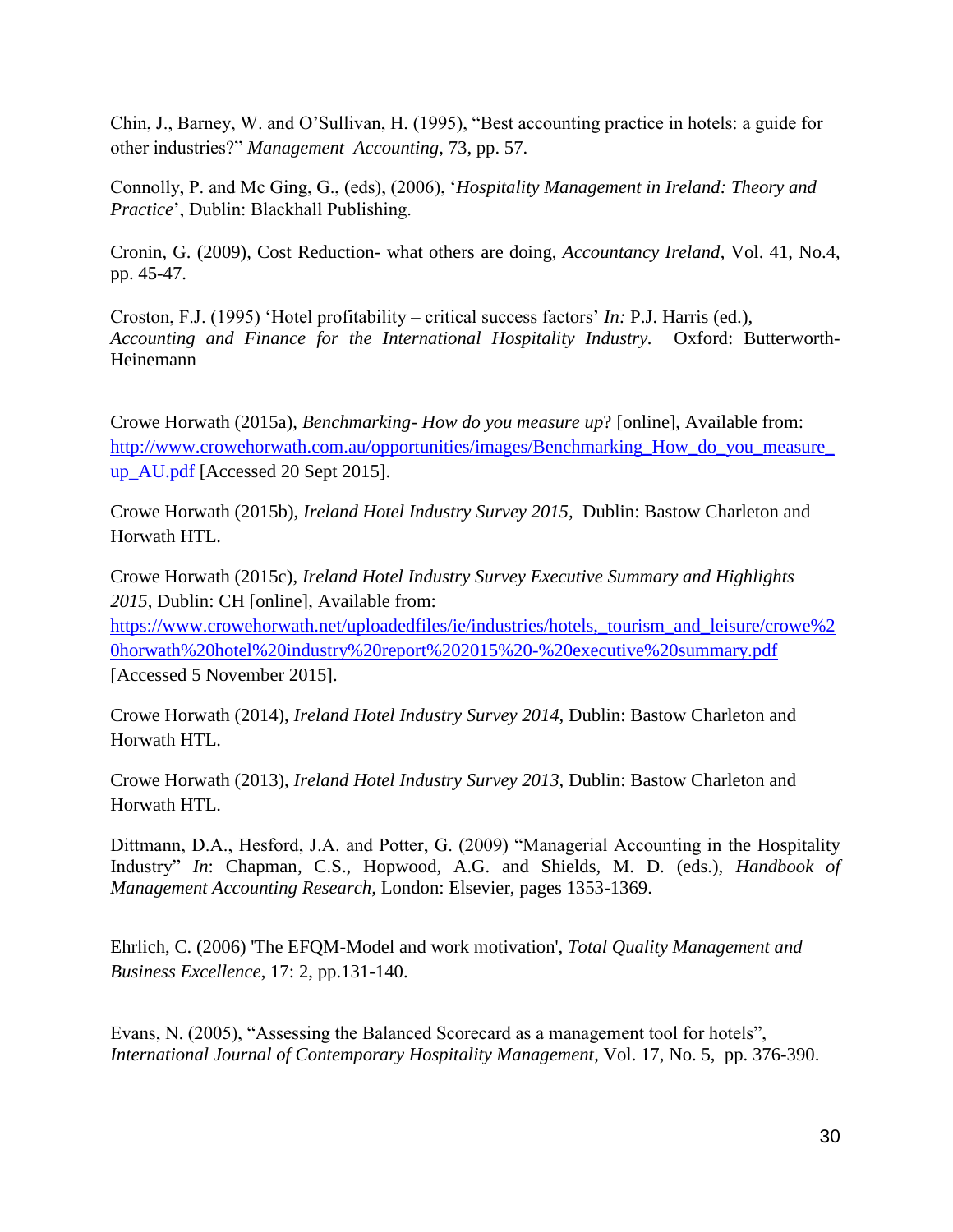Chin, J., Barney, W. and O'Sullivan, H. (1995), "Best accounting practice in hotels: a guide for other industries?" *Management Accounting*, 73, pp. 57.

Connolly, P. and Mc Ging, G., (eds), (2006), '*Hospitality Management in Ireland: Theory and Practice*', Dublin: Blackhall Publishing.

Cronin, G. (2009), Cost Reduction- what others are doing, *Accountancy Ireland*, Vol. 41, No.4, pp. 45-47.

Croston, F.J. (1995) 'Hotel profitability – critical success factors' *In:* P.J. Harris (ed.), *Accounting and Finance for the International Hospitality Industry.* Oxford: Butterworth-Heinemann

Crowe Horwath (2015a), *Benchmarking- How do you measure up*? [online], Available from: http://www.crowehorwath.com.au/opportunities/images/Benchmarking How do you measure up AU.pdf [Accessed 20 Sept 2015].

Crowe Horwath (2015b), *Ireland Hotel Industry Survey 2015,* Dublin: Bastow Charleton and Horwath HTL.

Crowe Horwath (2015c), *Ireland Hotel Industry Survey Executive Summary and Highlights 2015*, Dublin: CH [online], Available from:

[https://www.crowehorwath.net/uploadedfiles/ie/industries/hotels,\\_tourism\\_and\\_leisure/crowe%2](https://www.crowehorwath.net/uploadedfiles/ie/industries/hotels,_tourism_and_leisure/crowe%20horwath%20hotel%20industry%20report%202015%20-%20executive%20summary.pdf) [0horwath%20hotel%20industry%20report%202015%20-%20executive%20summary.pdf](https://www.crowehorwath.net/uploadedfiles/ie/industries/hotels,_tourism_and_leisure/crowe%20horwath%20hotel%20industry%20report%202015%20-%20executive%20summary.pdf) [Accessed 5 November 2015].

Crowe Horwath (2014), *Ireland Hotel Industry Survey 2014,* Dublin: Bastow Charleton and Horwath HTL.

Crowe Horwath (2013), *Ireland Hotel Industry Survey 2013,* Dublin: Bastow Charleton and Horwath HTL.

Dittmann, D.A., Hesford, J.A. and Potter, G. (2009) "Managerial Accounting in the Hospitality Industry" *In*: Chapman, C.S., Hopwood, A.G. and Shields, M. D. (eds.), *Handbook of Management Accounting Research,* London: Elsevier, pages 1353-1369.

Ehrlich, C. (2006) 'The EFQM-Model and work motivation', *Total Quality Management and Business Excellence*, 17: 2, pp.131-140.

Evans, N. (2005), "Assessing the Balanced Scorecard as a management tool for hotels", *International Journal of Contemporary Hospitality Management*, Vol. 17, No. 5, pp. 376-390.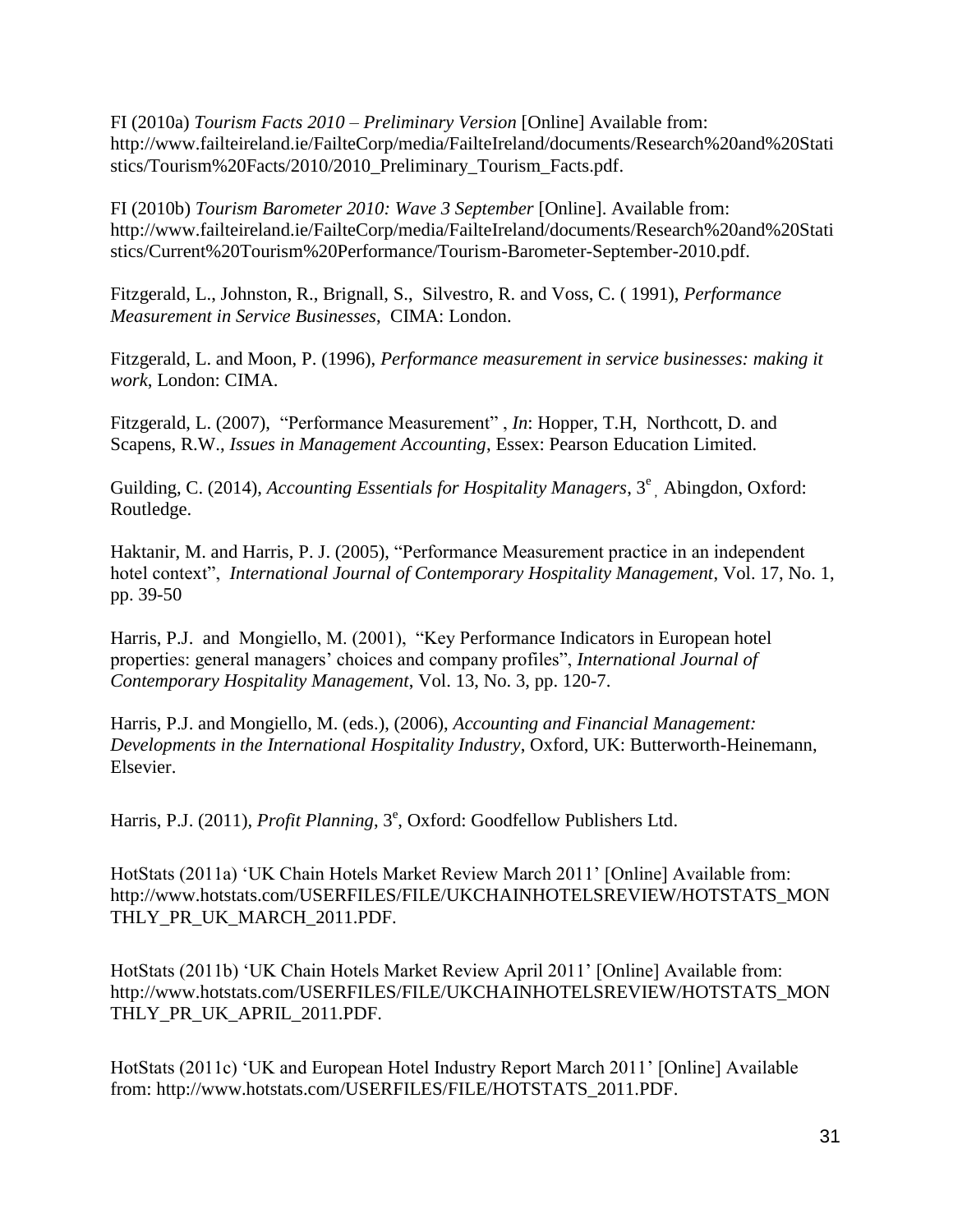FI (2010a) *Tourism Facts 2010 – Preliminary Version* [Online] Available from: http://www.failteireland.ie/FailteCorp/media/FailteIreland/documents/Research%20and%20Stati stics/Tourism%20Facts/2010/2010\_Preliminary\_Tourism\_Facts.pdf.

FI (2010b) *Tourism Barometer 2010: Wave 3 September* [Online]. Available from: http://www.failteireland.ie/FailteCorp/media/FailteIreland/documents/Research%20and%20Stati stics/Current%20Tourism%20Performance/Tourism-Barometer-September-2010.pdf.

Fitzgerald, L., Johnston, R., Brignall, S., Silvestro, R. and Voss, C. ( 1991), *Performance Measurement in Service Businesses*, CIMA: London.

Fitzgerald, L. and Moon, P. (1996), *Performance measurement in service businesses: making it work*, London: CIMA.

Fitzgerald, L. (2007), "Performance Measurement" , *In*: Hopper, T.H, Northcott, D. and Scapens, R.W., *Issues in Management Accounting*, Essex: Pearson Education Limited.

Guilding, C. (2014), *Accounting Essentials for Hospitality Managers*, 3<sup>e</sup>, Abingdon, Oxford: Routledge.

Haktanir, M. and Harris, P. J. (2005), "Performance Measurement practice in an independent hotel context", *International Journal of Contemporary Hospitality Management*, Vol. 17, No. 1, pp. 39-50

Harris, P.J. and Mongiello, M. (2001), "Key Performance Indicators in European hotel properties: general managers' choices and company profiles", *International Journal of Contemporary Hospitality Management*, Vol. 13, No. 3, pp. 120-7.

Harris, P.J. and Mongiello, M. (eds.), (2006), *Accounting and Financial Management: Developments in the International Hospitality Industry*, Oxford, UK: Butterworth-Heinemann, Elsevier.

Harris, P.J. (2011), *Profit Planning*, 3<sup>e</sup>, Oxford: Goodfellow Publishers Ltd.

HotStats (2011a) 'UK Chain Hotels Market Review March 2011' [Online] Available from: http://www.hotstats.com/USERFILES/FILE/UKCHAINHOTELSREVIEW/HOTSTATS\_MON THLY PR UK MARCH 2011.PDF.

HotStats (2011b) 'UK Chain Hotels Market Review April 2011' [Online] Available from: http://www.hotstats.com/USERFILES/FILE/UKCHAINHOTELSREVIEW/HOTSTATS\_MON THLY PR UK APRIL 2011.PDF.

HotStats (2011c) 'UK and European Hotel Industry Report March 2011' [Online] Available from: http://www.hotstats.com/USERFILES/FILE/HOTSTATS\_2011.PDF.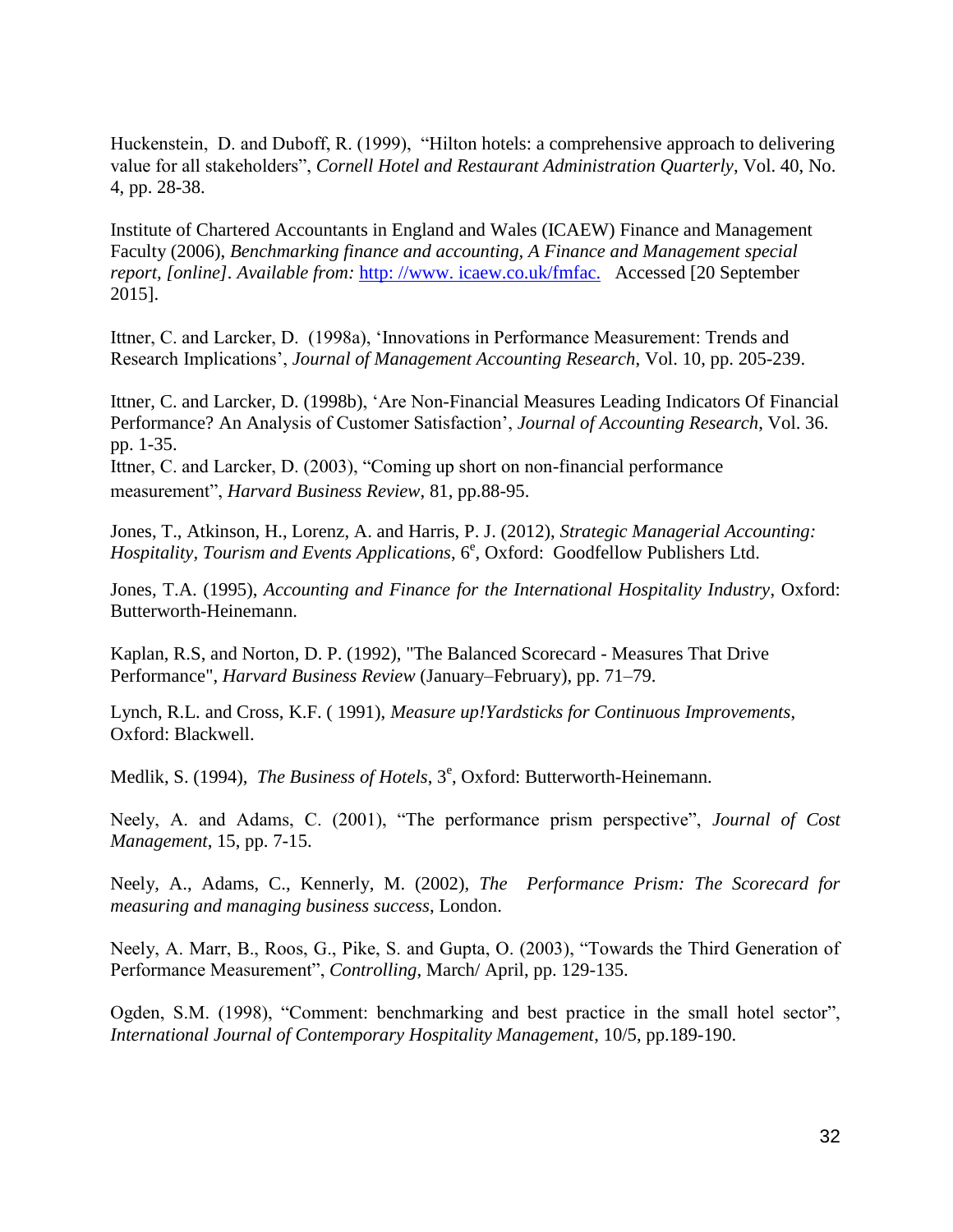Huckenstein, D. and Duboff, R. (1999), "Hilton hotels: a comprehensive approach to delivering value for all stakeholders", *Cornell Hotel and Restaurant Administration Quarterly*, Vol. 40, No. 4, pp. 28-38.

Institute of Chartered Accountants in England and Wales (ICAEW) Finance and Management Faculty (2006), *Benchmarking finance and accounting, A Finance and Management special report, [online]. Available from:* http: //www. icaew.co.uk/fmfac. Accessed [20 September 2015].

Ittner, C. and Larcker, D. (1998a), 'Innovations in Performance Measurement: Trends and Research Implications', *Journal of Management Accounting Research*, Vol. 10, pp. 205-239.

Ittner, C. and Larcker, D. (1998b), 'Are Non-Financial Measures Leading Indicators Of Financial Performance? An Analysis of Customer Satisfaction', *Journal of Accounting Research*, Vol. 36. pp. 1-35.

Ittner, C. and Larcker, D. (2003), "Coming up short on non-financial performance measurement", *Harvard Business Review*, 81, pp.88-95.

Jones, T., Atkinson, H., Lorenz, A. and Harris, P. J. (2012), *Strategic Managerial Accounting:*  Hospitality, Tourism and Events Applications, 6<sup>e</sup>, Oxford: Goodfellow Publishers Ltd.

Jones, T.A. (1995), *Accounting and Finance for the International Hospitality Industry*, Oxford: Butterworth-Heinemann.

Kaplan, R.S, and Norton, D. P. (1992), "The Balanced Scorecard - Measures That Drive Performance", *Harvard Business Review* (January–February), pp. 71–79.

Lynch, R.L. and Cross, K.F. ( 1991), *Measure up!Yardsticks for Continuous Improvements*, Oxford: Blackwell.

Medlik, S. (1994), *The Business of Hotels*, 3<sup>e</sup>, Oxford: Butterworth-Heinemann.

Neely, A. and Adams, C. (2001), "The performance prism perspective", *Journal of Cost Management*, 15, pp. 7-15.

Neely, A., Adams, C., Kennerly, M. (2002), *The Performance Prism: The Scorecard for measuring and managing business success*, London.

Neely, A. Marr, B., Roos, G., Pike, S. and Gupta, O. (2003), "Towards the Third Generation of Performance Measurement", *Controlling*, March/ April, pp. 129-135.

Ogden, S.M. (1998), "Comment: benchmarking and best practice in the small hotel sector", *International Journal of Contemporary Hospitality Management*, 10/5, pp.189-190.